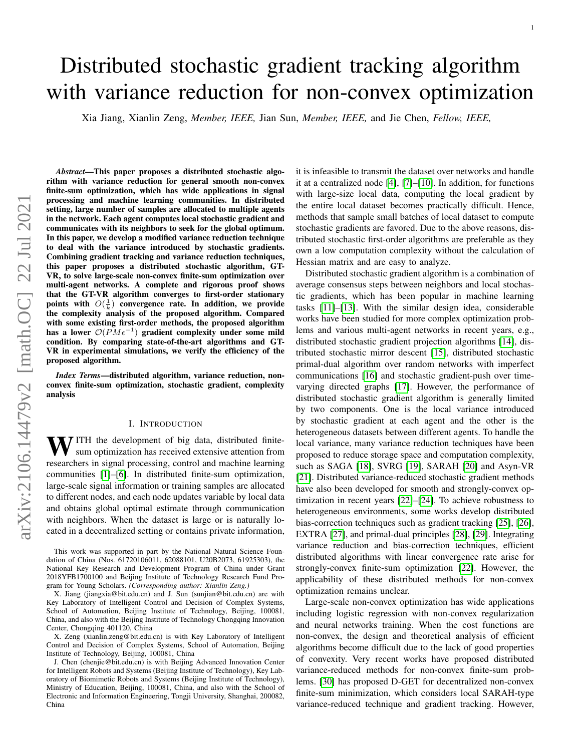# <span id="page-0-0"></span>Distributed stochastic gradient tracking algorithm with variance reduction for non-convex optimization

Xia Jiang, Xianlin Zeng, *Member, IEEE,* Jian Sun, *Member, IEEE,* and Jie Chen, *Fellow, IEEE,*

*Abstract*—This paper proposes a distributed stochastic algorithm with variance reduction for general smooth non-convex finite-sum optimization, which has wide applications in signal processing and machine learning communities. In distributed setting, large number of samples are allocated to multiple agents in the network. Each agent computes local stochastic gradient and communicates with its neighbors to seek for the global optimum. In this paper, we develop a modified variance reduction technique to deal with the variance introduced by stochastic gradients. Combining gradient tracking and variance reduction techniques, this paper proposes a distributed stochastic algorithm, GT-VR, to solve large-scale non-convex finite-sum optimization over multi-agent networks. A complete and rigorous proof shows that the GT-VR algorithm converges to first-order stationary points with  $O(\frac{1}{k})$  convergence rate. In addition, we provide the complexity analysis of the proposed algorithm. Compared with some existing first-order methods, the proposed algorithm has a lower  $\mathcal{O}(P M \epsilon^{-1})$  gradient complexity under some mild condition. By comparing state-of-the-art algorithms and GT-VR in experimental simulations, we verify the efficiency of the proposed algorithm.

*Index Terms*—distributed algorithm, variance reduction, nonconvex finite-sum optimization, stochastic gradient, complexity analysis

#### I. INTRODUCTION

WITH the development of big data, distributed finitesum optimization has received extensive attention from researchers in signal processing, control and machine learning communities [\[1\]](#page-9-0)–[\[6\]](#page-10-0). In distributed finite-sum optimization, large-scale signal information or training samples are allocated to different nodes, and each node updates variable by local data and obtains global optimal estimate through communication with neighbors. When the dataset is large or is naturally located in a decentralized setting or contains private information,

X. Zeng (xianlin.zeng@bit.edu.cn) is with Key Laboratory of Intelligent Control and Decision of Complex Systems, School of Automation, Beijing Institute of Technology, Beijing, 100081, China

it is infeasible to transmit the dataset over networks and handle it at a centralized node [\[4\]](#page-9-1), [\[7\]](#page-10-1)–[\[10\]](#page-10-2). In addition, for functions with large-size local data, computing the local gradient by the entire local dataset becomes practically difficult. Hence, methods that sample small batches of local dataset to compute stochastic gradients are favored. Due to the above reasons, distributed stochastic first-order algorithms are preferable as they own a low computation complexity without the calculation of Hessian matrix and are easy to analyze.

1

Distributed stochastic gradient algorithm is a combination of average consensus steps between neighbors and local stochastic gradients, which has been popular in machine learning tasks [\[11\]](#page-10-3)–[\[13\]](#page-10-4). With the similar design idea, considerable works have been studied for more complex optimization problems and various multi-agent networks in recent years, e.g., distributed stochastic gradient projection algorithms [\[14\]](#page-10-5), distributed stochastic mirror descent [\[15\]](#page-10-6), distributed stochastic primal-dual algorithm over random networks with imperfect communications [\[16\]](#page-10-7) and stochastic gradient-push over timevarying directed graphs [\[17\]](#page-10-8). However, the performance of distributed stochastic gradient algorithm is generally limited by two components. One is the local variance introduced by stochastic gradient at each agent and the other is the heterogeneous datasets between different agents. To handle the local variance, many variance reduction techniques have been proposed to reduce storage space and computation complexity, such as SAGA [\[18\]](#page-10-9), SVRG [\[19\]](#page-10-10), SARAH [\[20\]](#page-10-11) and Asyn-VR [\[21\]](#page-10-12). Distributed variance-reduced stochastic gradient methods have also been developed for smooth and strongly-convex optimization in recent years [\[22\]](#page-10-13)–[\[24\]](#page-10-14). To achieve robustness to heterogeneous environments, some works develop distributed bias-correction techniques such as gradient tracking [\[25\]](#page-10-15), [\[26\]](#page-10-16), EXTRA [\[27\]](#page-10-17), and primal-dual principles [\[28\]](#page-10-18), [\[29\]](#page-10-19). Integrating variance reduction and bias-correction techniques, efficient distributed algorithms with linear convergence rate arise for strongly-convex finite-sum optimization [\[22\]](#page-10-13). However, the applicability of these distributed methods for non-convex optimization remains unclear.

Large-scale non-convex optimization has wide applications including logistic regression with non-convex regularization and neural networks training. When the cost functions are non-convex, the design and theoretical analysis of efficient algorithms become difficult due to the lack of good properties of convexity. Very recent works have proposed distributed variance-reduced methods for non-convex finite-sum problems. [\[30\]](#page-10-20) has proposed D-GET for decentralized non-convex finite-sum minimization, which considers local SARAH-type variance-reduced technique and gradient tracking. However,

This work was supported in part by the National Natural Science Foundation of China (Nos. 61720106011, 62088101, U20B2073, 61925303), the National Key Research and Development Program of China under Grant 2018YFB1700100 and Beijing Institute of Technology Research Fund Program for Young Scholars. *(Corresponding author: Xianlin Zeng.)*

X. Jiang (jiangxia@bit.edu.cn) and J. Sun (sunjian@bit.edu.cn) are with Key Laboratory of Intelligent Control and Decision of Complex Systems, School of Automation, Beijing Institute of Technology, Beijing, 100081, China, and also with the Beijing Institute of Technology Chongqing Innovation Center, Chongqing 401120, China

J. Chen (chenjie@bit.edu.cn) is with Beijing Advanced Innovation Center for Intelligent Robots and Systems (Beijing Institute of Technology), Key Laboratory of Biomimetic Robots and Systems (Beijing Institute of Technology), Ministry of Education, Beijing, 100081, China, and also with the School of Electronic and Information Engineering, Tongji University, Shanghai, 200082, China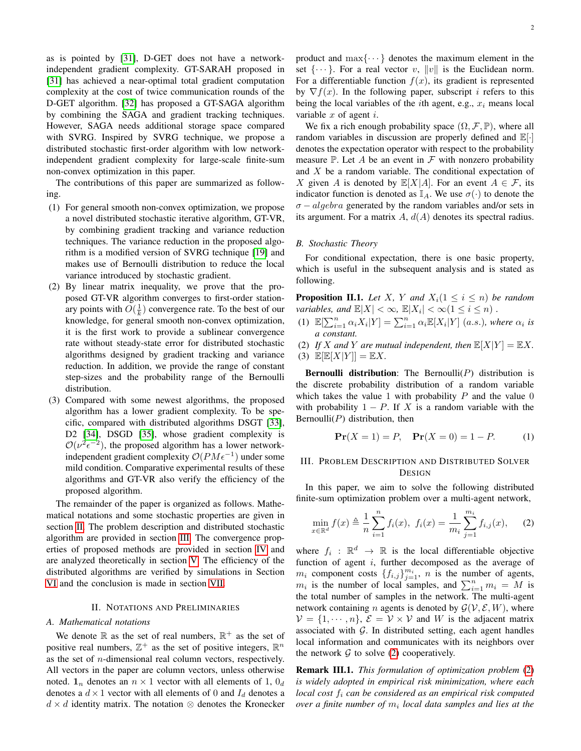as is pointed by [\[31\]](#page-10-21), D-GET does not have a networkindependent gradient complexity. GT-SARAH proposed in [\[31\]](#page-10-21) has achieved a near-optimal total gradient computation complexity at the cost of twice communication rounds of the D-GET algorithm. [\[32\]](#page-10-22) has proposed a GT-SAGA algorithm by combining the SAGA and gradient tracking techniques. However, SAGA needs additional storage space compared with SVRG. Inspired by SVRG technique, we propose a distributed stochastic first-order algorithm with low networkindependent gradient complexity for large-scale finite-sum non-convex optimization in this paper.

The contributions of this paper are summarized as following.

- (1) For general smooth non-convex optimization, we propose a novel distributed stochastic iterative algorithm, GT-VR, by combining gradient tracking and variance reduction techniques. The variance reduction in the proposed algorithm is a modified version of SVRG technique [\[19\]](#page-10-10) and makes use of Bernoulli distribution to reduce the local variance introduced by stochastic gradient.
- (2) By linear matrix inequality, we prove that the proposed GT-VR algorithm converges to first-order stationary points with  $O(\frac{1}{k})$  convergence rate. To the best of our knowledge, for general smooth non-convex optimization, it is the first work to provide a sublinear convergence rate without steady-state error for distributed stochastic algorithms designed by gradient tracking and variance reduction. In addition, we provide the range of constant step-sizes and the probability range of the Bernoulli distribution.
- (3) Compared with some newest algorithms, the proposed algorithm has a lower gradient complexity. To be specific, compared with distributed algorithms DSGT [\[33\]](#page-10-23), D2 [\[34\]](#page-10-24), DSGD [\[35\]](#page-10-25), whose gradient complexity is  $\mathcal{O}(\nu^2 \epsilon^{-2})$ , the proposed algorithm has a lower networkindependent gradient complexity  $\mathcal{O}(P M \epsilon^{-1})$  under some mild condition. Comparative experimental results of these algorithms and GT-VR also verify the efficiency of the proposed algorithm.

The remainder of the paper is organized as follows. Mathematical notations and some stochastic properties are given in section [II.](#page-1-0) The problem description and distributed stochastic algorithm are provided in section [III.](#page-1-1) The convergence properties of proposed methods are provided in section [IV](#page-2-0) and are analyzed theoretically in section [V.](#page-3-0) The efficiency of the distributed algorithms are verified by simulations in Section [VI](#page-6-0) and the conclusion is made in section [VII.](#page-7-0)

#### II. NOTATIONS AND PRELIMINARIES

## <span id="page-1-0"></span>*A. Mathematical notations*

We denote  $\mathbb R$  as the set of real numbers,  $\mathbb R^+$  as the set of positive real numbers,  $\mathbb{Z}^+$  as the set of positive integers,  $\mathbb{R}^n$ as the set of n-dimensional real column vectors, respectively. All vectors in the paper are column vectors, unless otherwise noted.  $\mathbf{1}_n$  denotes an  $n \times 1$  vector with all elements of 1,  $0_d$ denotes a  $d \times 1$  vector with all elements of 0 and  $I_d$  denotes a  $d \times d$  identity matrix. The notation  $\otimes$  denotes the Kronecker product and  $\max\{\cdots\}$  denotes the maximum element in the set  $\{\cdots\}$ . For a real vector v,  $||v||$  is the Euclidean norm. For a differentiable function  $f(x)$ , its gradient is represented by  $\nabla f(x)$ . In the following paper, subscript *i* refers to this being the local variables of the *i*th agent, e.g.,  $x_i$  means local variable  $x$  of agent  $i$ .

We fix a rich enough probability space  $(\Omega, \mathcal{F}, \mathbb{P})$ , where all random variables in discussion are properly defined and  $\mathbb{E}[\cdot]$ denotes the expectation operator with respect to the probability measure  $\mathbb P$ . Let A be an event in F with nonzero probability and  $X$  be a random variable. The conditional expectation of X given A is denoted by  $\mathbb{E}[X|A]$ . For an event  $A \in \mathcal{F}$ , its indicator function is denoted as  $\mathbb{I}_A$ . We use  $\sigma(\cdot)$  to denote the  $\sigma$  – algebra generated by the random variables and/or sets in its argument. For a matrix  $A$ ,  $d(A)$  denotes its spectral radius.

#### *B. Stochastic Theory*

For conditional expectation, there is one basic property, which is useful in the subsequent analysis and is stated as following.

**Proposition II.1.** Let X, Y and  $X_i$  ( $1 \leq i \leq n$ ) be random *variables, and*  $\mathbb{E}|X| < \infty$ ,  $\mathbb{E}|X_i| < \infty$  ( $1 \le i \le n$ ).

- (1)  $\mathbb{E}[\sum_{i=1}^{n} \alpha_i X_i | Y] = \sum_{i=1}^{n} \alpha_i \mathbb{E}[X_i | Y]$  (a.s.)*, where*  $\alpha_i$  is *a constant.*
- (2) If X and Y are mutual independent, then  $\mathbb{E}[X|Y] = \mathbb{E}[X]$ .

(3)  $\mathbb{E}[\mathbb{E}[X|Y]] = \mathbb{E}X.$ 

**Bernoulli distribution:** The Bernoulli( $P$ ) distribution is the discrete probability distribution of a random variable which takes the value 1 with probability  $P$  and the value 0 with probability  $1 - P$ . If X is a random variable with the Bernoulli( $P$ ) distribution, then

<span id="page-1-2"></span>
$$
\mathbf{Pr}(X=1) = P, \quad \mathbf{Pr}(X=0) = 1 - P. \tag{1}
$$

## <span id="page-1-1"></span>III. PROBLEM DESCRIPTION AND DISTRIBUTED SOLVER DESIGN

In this paper, we aim to solve the following distributed finite-sum optimization problem over a multi-agent network,

$$
\min_{x \in \mathbb{R}^d} f(x) \triangleq \frac{1}{n} \sum_{i=1}^n f_i(x), \ f_i(x) = \frac{1}{m_i} \sum_{j=1}^{m_i} f_{i,j}(x), \tag{2}
$$

where  $f_i : \mathbb{R}^d \to \mathbb{R}$  is the local differentiable objective function of agent  $i$ , further decomposed as the average of  $m_i$  component costs  $\{f_{i,j}\}_{j=1}^{m_i}$ , n is the number of agents,  $m_i$  is the number of local samples, and  $\sum_{i=1}^n m_i = M$  is the total number of samples in the network. The multi-agent network containing *n* agents is denoted by  $\mathcal{G}(\mathcal{V}, \mathcal{E}, W)$ , where  $V = \{1, \dots, n\}, \mathcal{E} = V \times V$  and W is the adjacent matrix associated with  $G$ . In distributed setting, each agent handles local information and communicates with its neighbors over the network  $G$  to solve [\(2\)](#page-1-2) cooperatively.

Remark III.1. *This formulation of optimization problem* [\(2\)](#page-1-2) *is widely adopted in empirical risk minimization, where each local cost* f<sup>i</sup> *can be considered as an empirical risk computed*  $over a$  finite number of  $m_i$  local data samples and lies at the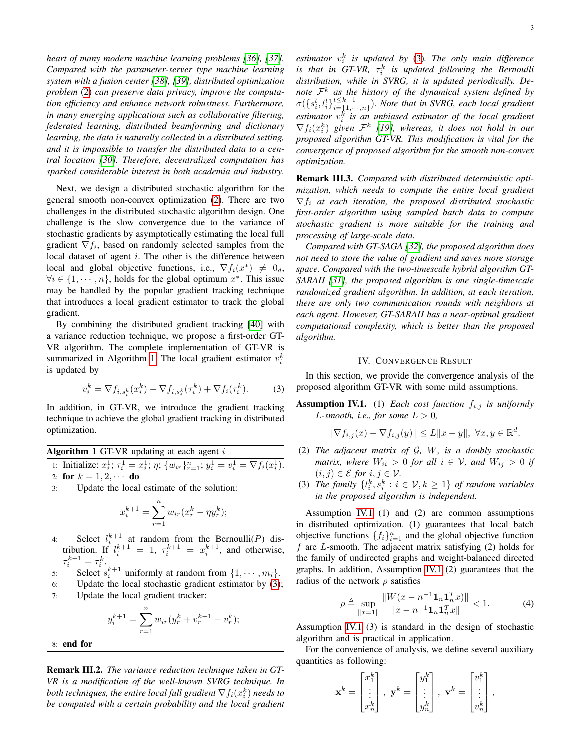*heart of many modern machine learning problems [\[36\]](#page-10-26), [\[37\]](#page-10-27). Compared with the parameter-server type machine learning system with a fusion center [\[38\]](#page-10-28), [\[39\]](#page-10-29), distributed optimization problem* [\(2\)](#page-1-2) *can preserve data privacy, improve the computation efficiency and enhance network robustness. Furthermore, in many emerging applications such as collaborative filtering, federated learning, distributed beamforming and dictionary learning, the data is naturally collected in a distributed setting, and it is impossible to transfer the distributed data to a central location [\[30\]](#page-10-20). Therefore, decentralized computation has sparked considerable interest in both academia and industry.*

Next, we design a distributed stochastic algorithm for the general smooth non-convex optimization [\(2\)](#page-1-2). There are two challenges in the distributed stochastic algorithm design. One challenge is the slow convergence due to the variance of stochastic gradients by asymptotically estimating the local full gradient  $\nabla f_i$ , based on randomly selected samples from the local dataset of agent  $i$ . The other is the difference between local and global objective functions, i.e.,  $\nabla f_i(x^*) \neq 0_d$ ,  $\forall i \in \{1, \dots, n\}$ , holds for the global optimum  $x^*$ . This issue may be handled by the popular gradient tracking technique that introduces a local gradient estimator to track the global gradient.

By combining the distributed gradient tracking [\[40\]](#page-10-30) with a variance reduction technique, we propose a first-order GT-VR algorithm. The complete implementation of GT-VR is summarized in Algorithm [1.](#page-2-1) The local gradient estimator  $v_i^k$ is updated by

$$
v_i^k = \nabla f_{i,s_i^k}(x_i^k) - \nabla f_{i,s_i^k}(\tau_i^k) + \nabla f_i(\tau_i^k). \tag{3}
$$

In addition, in GT-VR, we introduce the gradient tracking technique to achieve the global gradient tracking in distributed optimization.

<span id="page-2-1"></span>Algorithm 1 GT-VR updating at each agent  $i$ 

1: Initialize:  $x_i^1$ ;  $\tau_i^1 = x_i^1$ ;  $\eta$ ;  $\{w_{ir}\}_{r=1}^n$ ;  $y_i^1 = v_i^1 = \nabla f_i(x_i^1)$ . 2: for  $k = 1, 2, \cdots$  do

3: Update the local estimate of the solution:

$$
x_i^{k+1} = \sum_{r=1}^n w_{ir} (x_r^k - \eta y_r^k);
$$

- 4: Select  $l_i^{k+1}$  at random from the Bernoulli(P) distribution. If  $l_i^{k+1} = 1$ ,  $\tau_i^{k+1} = x_i^{k+1}$ , and otherwise,  $\tau_i^{k+1} = \tau_i^k$ .
- 5: Select  $s_i^{k+1}$  uniformly at random from  $\{1, \dots, m_i\}$ .
- 6: Update the local stochastic gradient estimator by [\(3\)](#page-2-2); 7: Update the local gradient tracker:

$$
y_i^{k+1} = \sum_{r=1}^n w_{ir} (y_r^k + v_r^{k+1} - v_r^k);
$$

8: end for

Remark III.2. *The variance reduction technique taken in GT-VR is a modification of the well-known SVRG technique. In* both techniques, the entire local full gradient  $\nabla f_i(x_i^k)$  needs to *be computed with a certain probability and the local gradient*

*estimator* v k i *is updated by* [\(3\)](#page-2-2)*. The only main difference* is that in  $GT\text{-}VR$ ,  $\tau^k_i$  is updated following the Bernoulli *distribution, while in SVRG, it is updated periodically. Denote* F <sup>k</sup> *as the history of the dynamical system defined by*  $\sigma(\{s_i^t, l_i^t\}_{i=\{1,\cdot\cdot}^{t\leq k-1}}^{t\leq k-1}$  $\sum_{i=\{1,\cdots,n\}}^{t\leq k-1}$ *). Note that in SVRG, each local gradient estimator* v k i *is an unbiased estimator of the local gradient*  $\nabla f_i(x_i^k)$  given  $\mathcal{F}^k$  [\[19\]](#page-10-10), whereas, it does not hold in our *proposed algorithm GT-VR. This modification is vital for the convergence of proposed algorithm for the smooth non-convex optimization.*

Remark III.3. *Compared with distributed deterministic optimization, which needs to compute the entire local gradient*  $\nabla f_i$  *at each iteration, the proposed distributed stochastic first-order algorithm using sampled batch data to compute stochastic gradient is more suitable for the training and processing of large-scale data.*

*Compared with GT-SAGA [\[32\]](#page-10-22), the proposed algorithm does not need to store the value of gradient and saves more storage space. Compared with the two-timescale hybrid algorithm GT-SARAH [\[31\]](#page-10-21), the proposed algorithm is one single-timescale randomized gradient algorithm. In addition, at each iteration, there are only two communication rounds with neighbors at each agent. However, GT-SARAH has a near-optimal gradient computational complexity, which is better than the proposed algorithm.*

### IV. CONVERGENCE RESULT

<span id="page-2-2"></span><span id="page-2-0"></span>In this section, we provide the convergence analysis of the proposed algorithm GT-VR with some mild assumptions.

**Assumption IV.1.** (1) *Each cost function*  $f_{i,j}$  *is uniformly L*-smooth, i.e., for some  $L > 0$ ,

 $\|\nabla f_{i,j}(x) - \nabla f_{i,j}(y)\| \le L \|x - y\|, \; \forall x, y \in \mathbb{R}^d.$ 

- (2) *The adjacent matrix of* G*,* W*, is a doubly stochastic matrix, where*  $W_{ii} > 0$  *for all*  $i \in V$ *, and*  $W_{ij} > 0$  *if*  $(i, j) \in \mathcal{E}$  for  $i, j \in \mathcal{V}$ .
- (3) *The family*  $\{l_i^k, s_i^k : i \in V, k \geq 1\}$  *of random variables in the proposed algorithm is independent.*

Assumption [IV.1](#page-0-0) (1) and (2) are common assumptions in distributed optimization. (1) guarantees that local batch objective functions  $\{f_i\}_{i=1}^n$  and the global objective function  $f$  are *L*-smooth. The adjacent matrix satisfying  $(2)$  holds for the family of undirected graphs and weight-balanced directed graphs. In addition, Assumption [IV.1](#page-0-0) (2) guarantees that the radius of the network  $\rho$  satisfies

$$
\rho \triangleq \sup_{\|x=1\|} \frac{\|W(x-n^{-1}\mathbf{1}_n\mathbf{1}_n^T x)\|}{\|x-n^{-1}\mathbf{1}_n\mathbf{1}_n^T x\|} < 1. \tag{4}
$$

Assumption [IV.1](#page-0-0) (3) is standard in the design of stochastic algorithm and is practical in application.

For the convenience of analysis, we define several auxiliary quantities as following:

$$
\mathbf{x}^{k} = \begin{bmatrix} x_1^{k} \\ \vdots \\ x_n^{k} \end{bmatrix}, \ \mathbf{y}^{k} = \begin{bmatrix} y_1^{k} \\ \vdots \\ y_n^{k} \end{bmatrix}, \ \mathbf{v}^{k} = \begin{bmatrix} v_1^{k} \\ \vdots \\ v_n^{k} \end{bmatrix},
$$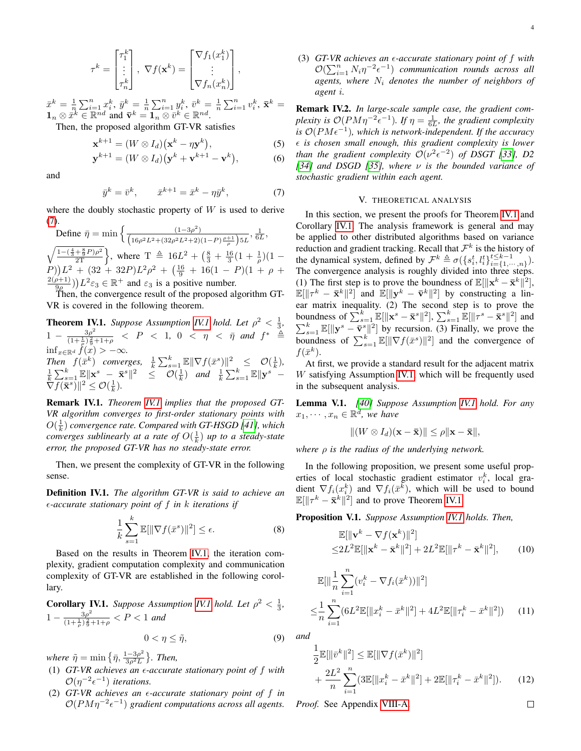$$
\tau^{k} = \begin{bmatrix} \tau_1^{k} \\ \vdots \\ \tau_n^{k} \end{bmatrix}, \ \nabla f(\mathbf{x}^{k}) = \begin{bmatrix} \nabla f_1(x_1^{k}) \\ \vdots \\ \nabla f_n(x_n^{k}) \end{bmatrix},
$$

 $\bar{x}^k = \frac{1}{n} \sum_{i=1}^n x_i^k, \, \bar{y}^k = \frac{1}{n} \sum_{i=1}^n y_i^k, \, \bar{v}^k = \frac{1}{n} \sum_{i=1}^n v_i^k, \, \bar{\mathbf{x}}^k =$  $\mathbf{1}_n \otimes \overline{x}^k \in \mathbb{R}^{nd}$  and  $\overline{\mathbf{v}}^k = \mathbf{1}_n \otimes \overline{v}^k \in \mathbb{R}^{nd}$ .

Then, the proposed algorithm GT-VR satisfies

$$
\mathbf{x}^{k+1} = (W \otimes I_d)(\mathbf{x}^k - \eta \mathbf{y}^k),\tag{5}
$$

$$
\mathbf{y}^{k+1} = (W \otimes I_d)(\mathbf{y}^k + \mathbf{v}^{k+1} - \mathbf{v}^k), \tag{6}
$$

and

$$
\bar{y}^k = \bar{v}^k, \qquad \bar{x}^{k+1} = \bar{x}^k - \eta \bar{y}^k, \tag{7}
$$

where the doubly stochastic property of  $W$  is used to derive [\(7\)](#page-3-1).

Define  $\bar{\eta} = \min \left\{ \frac{(1-3\rho^2)}{(\rho_0 - \rho_0^2)(\rho_0 - \rho_0^2)(\rho_0 - \rho_0^2)} \right\}$  $\frac{(1-3\rho^2)}{\left(16\rho^2L^2+(32\rho^2L^2+2)(1-P)\frac{\rho+1}{\rho}\right)5L},\frac{1}{6L},$  $\sqrt{\frac{1-(\frac{4}{3}+\frac{8}{9}P)\rho^2}{2T}}$ , where  $T \triangleq 16L^2 + (\frac{8}{3}+\frac{16}{3}(1+\frac{1}{\rho})(1-\frac{1}{\rho^2})$  $(P)$ ) $L^2 + (32 + 32P)L^2\rho^2 + (\frac{16}{9} + 16(1 - P)(1 + \rho +$  $2(\rho+1)$  $\left(\frac{\rho+1}{9\rho}\right) L^2 \varepsilon_3 \in \mathbb{R}^+$  and  $\varepsilon_3$  is a positive number.

Then, the convergence result of the proposed algorithm GT-VR is covered in the following theorem.

<span id="page-3-2"></span>**Theorem [IV.1](#page-0-0).** *Suppose Assumption IV.1 hold. Let*  $\rho^2 < \frac{1}{3}$ *,*  $1 - \frac{3\rho^2}{(1+1)^2}$  $\frac{3\rho^2}{(1+\frac{1}{\rho})\frac{2}{9}+1+\rho}$  < P < 1, 0 < η < η៑ *and f*\* ≜  $\inf_{x \in \mathbb{R}^d} f(x) > -\infty.$ *Then*  $f(\bar{x}^k)$  *converges,*  $\frac{1}{k} \sum_{s=1}^k \mathbb{E} \|\nabla f(\bar{x}^s)\|^2 \leq \mathcal{O}(\frac{1}{k}),$  $\frac{1}{k}\sum_{s=1}^k \mathbb{E} \|\mathbf{x}^s - \bar{\mathbf{x}}^s\|^2 \leq \mathcal{O}(\frac{1}{k})$  and  $\frac{1}{k}\sum_{s=1}^k \mathbb{E} \|\mathbf{y}^s \tilde{\nabla} f(\bar{\mathbf{x}}^s)$ ||<sup>2</sup>  $\leq \mathcal{O}(\frac{1}{k})$ .

Remark IV.1. *Theorem [IV.1](#page-3-2) implies that the proposed GT-VR algorithm converges to first-order stationary points with*  $O(\frac{1}{k})$  convergence rate. Compared with GT-HSGD [\[41\]](#page-10-31), which *converges sublinearly at a rate of*  $O(\frac{1}{k})$  *up to a steady-state error, the proposed GT-VR has no steady-state error.*

Then, we present the complexity of GT-VR in the following sense.

<span id="page-3-7"></span>Definition IV.1. *The algorithm GT-VR is said to achieve an -accurate stationary point of* f *in* k *iterations if*

$$
\frac{1}{k} \sum_{s=1}^{k} \mathbb{E}[\|\nabla f(\bar{x}^s)\|^2] \le \epsilon. \tag{8}
$$

Based on the results in Theorem [IV.1,](#page-3-2) the iteration complexity, gradient computation complexity and communication complexity of GT-VR are established in the following corollary.

<span id="page-3-3"></span>**Corollary [IV.1](#page-0-0).** *Suppose Assumption IV.1 hold. Let*  $\rho^2 < \frac{1}{3}$ *,*  $1-\frac{3\rho^2}{(1+\frac{1}{2})^2}$  $\frac{3\rho}{(1+\frac{1}{\rho})\frac{2}{9}+1+\rho} < P < 1$  and

$$
0 < \eta \leq \tilde{\eta},\tag{9}
$$

*where*  $\tilde{\eta} = \min \left\{ \bar{\eta}, \frac{1-3\rho^2}{3\rho^2 L} \right\}$  $\frac{(-3\rho^2)}{3\rho^2L}$ . Then,

- (1)  $GT-VR$  achieves an  $\epsilon$ -accurate stationary point of  $f$  with  $\mathcal{O}(\eta^{-2}\epsilon^{-1})$  *iterations.*
- (2) *GT-VR achieves an -accurate stationary point of* f *in*  $O(PM\eta^{-2}\epsilon^{-1})$  gradient computations across all agents.

(3) *GT-VR achieves an -accurate stationary point of* f *with*  $\mathcal{O}(\sum_{i=1}^n N_i \eta^{-2} \epsilon^{-1})$  *communication rounds across all* agents, where  $N_i$  denotes the number of neighbors of *agent* i*.*

<span id="page-3-10"></span><span id="page-3-9"></span>Remark IV.2. *In large-scale sample case, the gradient complexity is*  $O(PM\eta^{-2}\epsilon^{-1})$ *. If*  $\eta = \frac{1}{6L}$ *, the gradient complexity* is  $O(PMe^{-1})$ , which is network-independent. If the accuracy *is chosen small enough, this gradient complexity is lower than the gradient complexity*  $\mathcal{O}(\nu^2 \epsilon^{-2})$  *of DSGT [\[33\]](#page-10-23), D2 [\[34\]](#page-10-24) and DSGD [\[35\]](#page-10-25), where* ν *is the bounded variance of stochastic gradient within each agent.*

#### V. THEORETICAL ANALYSIS

<span id="page-3-1"></span><span id="page-3-0"></span>In this section, we present the proofs for Theorem [IV.1](#page-3-2) and Corollary [IV.1.](#page-3-3) The analysis framework is general and may be applied to other distributed algorithms based on variance reduction and gradient tracking. Recall that  $\mathcal{F}^k$  is the history of the dynamical system, defined by  $\mathcal{F}^k \triangleq \sigma(\lbrace s_i^t, l_i^t \rbrace_{i=1}^{t \leq k-1})$  $_{i=\{1,\cdots,n\}}^{t\leq \kappa-1}$ . The convergence analysis is roughly divided into three steps. (1) The first step is to prove the boundness of  $\mathbb{E}[\Vert \mathbf{x}^k - \bar{\mathbf{x}}^k \Vert^2],$  $\mathbb{E}[\|\tau^k - \bar{\mathbf{x}}^k\|^2]$  and  $\mathbb{E}[\|\mathbf{y}^k - \bar{\mathbf{v}}^k\|^2]$  by constructing a linear matrix inequality. (2) The second step is to prove the boundness of  $\sum_{s=1}^{k} \mathbb{E}[\|\mathbf{x}^{s} - \bar{\mathbf{x}}^{s}\|^2], \sum_{s=1}^{k} \mathbb{E}[\|\tau^{s} - \bar{\mathbf{x}}^{s}\|^2]$  and  $\sum_{s=1}^{k} \mathbb{E}[\|\mathbf{y}^s - \overline{\mathbf{v}}^s\|^2]$  by recursion. (3) Finally, we prove the boundness of  $\sum_{s=1}^k \mathbb{E}[\|\nabla f(\bar{x}^s)\|^2]$  and the convergence of  $f(\bar{x}^k)$  $f(\bar{x}^k)$ .

At first, we provide a standard result for the adjacent matrix W satisfying Assumption [IV.1,](#page-0-0) which will be frequently used in the subsequent analysis.

<span id="page-3-11"></span>Lemma V.1. *[\[40\]](#page-10-30) Suppose Assumption [IV.1](#page-0-0) hold. For any*  $x_1, \dots, x_n \in \mathbb{R}^d$ , we have

$$
||(W \otimes I_d)(\mathbf{x} - \overline{\mathbf{x}})|| \leq \rho ||\mathbf{x} - \overline{\mathbf{x}}||,
$$

*where* ρ *is the radius of the underlying network.*

In the following proposition, we present some useful properties of local stochastic gradient estimator  $v_i^k$ , local gradient  $\nabla f_i(x_i^k)$  and  $\nabla f_i(\bar{x}^k)$ , which will be used to bound  $\mathbb{E}[\|\tau^k - \bar{\mathbf{x}}^k\|^2]$  and to prove Theorem [IV.1.](#page-3-2)

<span id="page-3-4"></span>Proposition V.1. *Suppose Assumption [IV.1](#page-0-0) holds. Then,*

$$
\mathbb{E}[\|\mathbf{v}^k - \nabla f(\mathbf{x}^k)\|^2]
$$
  
\n
$$
\leq 2L^2 \mathbb{E}[\|\mathbf{x}^k - \bar{\mathbf{x}}^k\|^2] + 2L^2 \mathbb{E}[\|\tau^k - \bar{\mathbf{x}}^k\|^2],
$$
 (10)

$$
\mathbb{E}[\|\frac{1}{n}\sum_{i=1}^{n}(v_i^k - \nabla f_i(\bar{x}^k))\|^2]
$$
  

$$
\leq \frac{1}{n}\sum_{i=1}^{n}(6L^2\mathbb{E}[\|x_i^k - \bar{x}^k\|^2] + 4L^2\mathbb{E}[\|\tau_i^k - \bar{x}^k\|^2]) \qquad (11)
$$

<span id="page-3-8"></span>*and*

$$
\frac{1}{2}\mathbb{E}[\|\bar{v}^k\|^2] \le \mathbb{E}[\|\nabla f(\bar{x}^k)\|^2] \n+ \frac{2L^2}{n} \sum_{i=1}^n (3\mathbb{E}[\|x_i^k - \bar{x}^k\|^2] + 2\mathbb{E}[\|\tau_i^k - \bar{x}^k\|^2]).
$$
\n(12)

*Proof.* See Appendix [VIII-A.](#page-7-1)

<span id="page-3-6"></span><span id="page-3-5"></span> $\Box$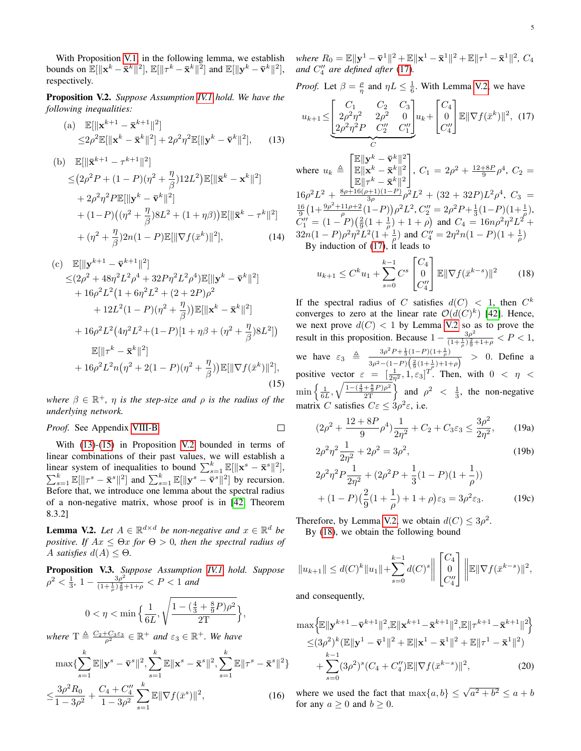With Proposition [V.1,](#page-3-4) in the following lemma, we establish bounds on  $\mathbb{E}[\|\mathbf{x}^k - \bar{\mathbf{x}}^k\|^2], \mathbb{E}[\|\tau^k - \bar{\mathbf{x}}^k\|^2]$  and  $\mathbb{E}[\|\mathbf{y}^k - \bar{\mathbf{v}}^k\|^2],$ respectively.

<span id="page-4-2"></span>Proposition V.2. *Suppose Assumption [IV.1](#page-0-0) hold. We have the following inequalities:*

(a) 
$$
\mathbb{E}[\|\mathbf{x}^{k+1} - \bar{\mathbf{x}}^{k+1}\|^2]
$$
  
\n
$$
\leq 2\rho^2 \mathbb{E}[\|\mathbf{x}^k - \bar{\mathbf{x}}^k\|^2] + 2\rho^2\eta^2 \mathbb{E}[\|\mathbf{y}^k - \bar{\mathbf{v}}^k\|^2],
$$
 (13)

(b) 
$$
\mathbb{E}[\|\bar{\mathbf{x}}^{k+1} - \tau^{k+1}\|^2]
$$
  
\n $\leq (2\rho^2 P + (1 - P)(\eta^2 + \frac{\eta}{\beta})12L^2)\mathbb{E}[\|\bar{\mathbf{x}}^k - \mathbf{x}^k\|^2]$   
\n $+ 2\rho^2 \eta^2 P \mathbb{E}[\|\mathbf{y}^k - \bar{\mathbf{v}}^k\|^2]$   
\n $+ (1 - P)((\eta^2 + \frac{\eta}{\beta})8L^2 + (1 + \eta\beta))\mathbb{E}[\|\bar{\mathbf{x}}^k - \tau^k\|^2]$   
\n $+ (\eta^2 + \frac{\eta}{\beta})2n(1 - P)\mathbb{E}[\|\nabla f(\bar{x}^k)\|^2],$  (14)

(c) 
$$
\mathbb{E}[\|\mathbf{y}^{k+1} - \bar{\mathbf{v}}^{k+1}\|^2] \n\leq (2\rho^2 + 48\eta^2 L^2 \rho^4 + 32P\eta^2 L^2 \rho^4) \mathbb{E}[\|\mathbf{y}^k - \bar{\mathbf{v}}^k\|^2] \n+ 16\rho^2 L^2 (1 + 6\eta^2 L^2 + (2 + 2P)\rho^2 \n+ 12L^2 (1 - P)(\eta^2 + \frac{\eta}{\beta}) ) \mathbb{E}[\|\mathbf{x}^k - \bar{\mathbf{x}}^k\|^2] \n+ 16\rho^2 L^2 (4\eta^2 L^2 + (1 - P)[1 + \eta\beta + (\eta^2 + \frac{\eta}{\beta})8L^2]) \n\mathbb{E}[\|\tau^k - \bar{\mathbf{x}}^k\|^2] \n+ 16\rho^2 L^2 n (\eta^2 + 2(1 - P)(\eta^2 + \frac{\eta}{\beta})) \mathbb{E}[\|\nabla f(\bar{x}^k)\|^2],
$$
\n(15)

*where*  $\beta \in \mathbb{R}^+$ ,  $\eta$  *is the step-size and*  $\rho$  *is the radius of the underlying network.*

*Proof.* See Appendix [VIII-B.](#page-8-0)

With [\(13\)](#page-4-0)-[\(15\)](#page-4-1) in Proposition [V.2](#page-4-2) bounded in terms of linear combinations of their past values, we will establish a linear system of inequalities to bound  $\sum_{s=1}^{k} \mathbb{E}[\Vert \mathbf{x}^{s} - \bar{\mathbf{x}}^{s} \Vert^{2}]$ ,  $\sum_{s=1}^{k} \mathbb{E}[\|\tau^s - \bar{\mathbf{x}}^s\|^2]$  and  $\sum_{s=1}^{k} \mathbb{E}[\|\mathbf{y}^s - \bar{\mathbf{v}}^s\|^2]$  by recursion. Before that, we introduce one lemma about the spectral radius of a non-negative matrix, whose proof is in [\[42,](#page-10-32) Theorem 8.3.2]

<span id="page-4-4"></span>**Lemma V.2.** *Let*  $A \in \mathbb{R}^{d \times d}$  *be non-negative and*  $x \in \mathbb{R}^d$  *be positive. If*  $Ax \leq \Theta x$  *for*  $\Theta > 0$ *, then the spectral radius of* A *satisfies*  $d(A) < \Theta$ .

Proposition V.3. *Suppose Assumption [IV.1](#page-0-0) hold. Suppose*  $\rho^2 < \frac{1}{3}$ ,  $1 - \frac{3\rho^2}{(1 + \frac{1}{2})\frac{2}{9}}$  $\frac{3\rho}{(1+\frac{1}{\rho})\frac{2}{9}+1+\rho} < P < 1$  and

$$
0<\eta<\min\Big\{\frac{1}{6L},\sqrt{\frac{1-(\frac{4}{3}+\frac{8}{9}P)\rho^2}{2T}}\Big\},
$$

where  $T \triangleq \frac{C_2 + C_3 \varepsilon_3}{\rho^2} \in \mathbb{R}^+$  and  $\varepsilon_3 \in \mathbb{R}^+$ . We have

$$
\max \{ \sum_{s=1}^{k} \mathbb{E} \|\mathbf{y}^{s} - \bar{\mathbf{v}}^{s}\|^{2}, \sum_{s=1}^{k} \mathbb{E} \|\mathbf{x}^{s} - \bar{\mathbf{x}}^{s}\|^{2}, \sum_{s=1}^{k} \mathbb{E} \|\tau^{s} - \bar{\mathbf{x}}^{s}\|^{2} \}
$$

$$
\leq \frac{3\rho^{2} R_{0}}{1 - 3\rho^{2}} + \frac{C_{4} + C_{4}^{\prime\prime}}{1 - 3\rho^{2}} \sum_{s=1}^{k} \mathbb{E} \|\nabla f(\bar{x}^{s})\|^{2}, \qquad (16)
$$

where  $R_0 = \mathbb{E} \|\mathbf{y}^1 - \bar{\mathbf{v}}^1\|^2 + \mathbb{E} \|\mathbf{x}^1 - \bar{\mathbf{x}}^1\|^2 + \mathbb{E} \|\tau^1 - \bar{\mathbf{x}}^1\|^2$ ,  $C_4$ and  $C_4''$  are defined after [\(17\)](#page-4-3).

*Proof.* Let  $\beta = \frac{\rho}{\eta}$  and  $\eta L \leq \frac{1}{6}$ . With Lemma [V.2,](#page-4-2) we have

<span id="page-4-3"></span>
$$
u_{k+1} \leq \underbrace{\begin{bmatrix} C_1 & C_2 & C_3 \\ 2\rho^2 \eta^2 & 2\rho^2 & 0 \\ 2\rho^2 \eta^2 P & C_2'' & C_1'' \end{bmatrix}}_{C} u_k + \begin{bmatrix} C_4 \\ 0 \\ C_4'' \end{bmatrix} \mathbb{E} \|\nabla f(\bar{x}^k)\|^2, \tag{17}
$$

<span id="page-4-0"></span>where  $u_k \triangleq$  $\lceil$  $\overline{1}$  $\mathbb{E}\|\mathbf{y}^k - \bar{\mathbf{v}}^k\|^2$  $\mathbb{E}\|\mathbf{x}^k - \mathbf{\bar{x}}^k\|^2$  $\mathbb{E}\Vert\tau^k - \mathbf{\bar{x}}^k\Vert^2$ 1 ,  $C_1 = 2\rho^2 + \frac{12+8P}{9}\rho^4$ ,  $C_2 =$  $16\rho^2 L^2 + \frac{8\rho + 16(\rho+1)(1-P)}{3\rho}$  $\frac{(3p+1)(1-P)}{3p}\rho^2L^2 + (32+32P)L^2\rho^4$ ,  $C_3 =$  $\frac{16}{9}(1+\frac{9\rho^2+11\rho+2}{\rho}(1-P))\rho^2L^2$ ,  $C_2''=2\rho^2P+\frac{1}{3}(1-P)(1+\frac{1}{\rho})$ ,  $C_1'' = (1 - P)(\frac{2}{9}(1 + \frac{1}{\rho}) + 1 + \rho)$  and  $C_4 = 16n\rho^2\eta^2L^2 +$  $32n(1-P)\rho^2\eta^2L^2(1+\frac{1}{\rho})$  and  $C_4''=2\eta^2n(1-P)(1+\frac{1}{\rho})$ By induction of  $(17)$ , it leads to

<span id="page-4-7"></span><span id="page-4-5"></span>
$$
u_{k+1} \leq C^k u_1 + \sum_{s=0}^{k-1} C^s \begin{bmatrix} C_4 \\ 0 \\ C_4'' \end{bmatrix} \mathbb{E} \|\nabla f(\bar{x}^{k-s})\|^2 \qquad (18)
$$

If the spectral radius of C satisfies  $d(C) < 1$ , then  $C<sup>k</sup>$ converges to zero at the linear rate  $\mathcal{O}(d(C)^k)$  [\[42\]](#page-10-32). Hence, we next prove  $d(C)$  < 1 by Lemma [V.2](#page-4-4) so as to prove the result in this proposition. Because  $1 - \frac{3\rho^2}{(1+\frac{1}{2})^2}$  $\frac{3\rho}{(1+\frac{1}{\rho})\frac{2}{9}+1+\rho} < P < 1,$ we have  $\varepsilon_3 \triangleq \frac{3\rho^2 P + \frac{1}{3}(1-P)(1+\frac{1}{\rho})}{2\sigma^2 \left(1-\frac{P}{\rho}\right)(2(1+\frac{1}{\rho}))}$  $\frac{3\rho^2-(1-P)\left(\frac{2}{9}(1+\frac{1}{\rho})+1+\rho\right)}{3\rho^2-(1-P)\left(\frac{2}{9}(1+\frac{1}{\rho})+1+\rho\right)}$  > 0. Define a positive vector  $\varepsilon = \left[\frac{1}{2\eta^2}, 1, \varepsilon_3\right]^T$ . Then, with  $0 < \eta <$  $\min\left\{\frac{1}{6L},\sqrt{\frac{1-(\frac{4}{3}+\frac{8}{9}P)\rho^2}{2T}}\right\}$  and  $\rho^2 < \frac{1}{3}$ , the non-negative matrix C satisfies  $C\epsilon \leq 3\rho^2 \epsilon$ , i.e.

$$
(2\rho^2 + \frac{12 + 8P}{9}\rho^4)\frac{1}{2\eta^2} + C_2 + C_3\varepsilon_3 \le \frac{3\rho^2}{2\eta^2},\qquad(19a)
$$

$$
2\rho^2 \eta^2 \frac{1}{2\eta^2} + 2\rho^2 = 3\rho^2,
$$
\n(19b)

$$
2\rho^2 \eta^2 P \frac{1}{2\eta^2} + (2\rho^2 P + \frac{1}{3}(1 - P)(1 + \frac{1}{\rho}))
$$
  
+  $(1 - P)\left(\frac{2}{9}(1 + \frac{1}{\rho}) + 1 + \rho\right)\varepsilon_3 = 3\rho^2 \varepsilon_3.$  (19c)

Therefore, by Lemma [V.2,](#page-4-4) we obtain  $d(C) \leq 3\rho^2$ . By [\(18\)](#page-4-5), we obtain the following bound

$$
||u_{k+1}|| \le d(C)^k ||u_1|| + \sum_{s=0}^{k-1} d(C)^s \left\| \begin{bmatrix} C_4 \\ 0 \\ C_4'' \end{bmatrix} \right\| \mathbb{E} ||\nabla f(\bar{x}^{k-s})||^2,
$$

and consequently,

<span id="page-4-1"></span> $\Box$ 

<span id="page-4-6"></span>
$$
\max \left\{ \mathbb{E} \|\mathbf{y}^{k+1} - \bar{\mathbf{v}}^{k+1}\|^2, \mathbb{E} \|\mathbf{x}^{k+1} - \bar{\mathbf{x}}^{k+1}\|^2, \mathbb{E} \|\tau^{k+1} - \bar{\mathbf{x}}^{k+1}\|^2 \right\} \n\leq (3\rho^2)^k (\mathbb{E} \|\mathbf{y}^1 - \bar{\mathbf{v}}^1\|^2 + \mathbb{E} \|\mathbf{x}^1 - \bar{\mathbf{x}}^1\|^2 + \mathbb{E} \|\tau^1 - \bar{\mathbf{x}}^1\|^2) \n+ \sum_{s=0}^{k-1} (3\rho^2)^s (C_4 + C_4'') \mathbb{E} \|\nabla f(\bar{x}^{k-s})\|^2,
$$
\n(20)

where we used the fact that  $\max\{a, b\} \leq \sqrt{a^2 + b^2} \leq a + b$ for any  $a \geq 0$  and  $b \geq 0$ .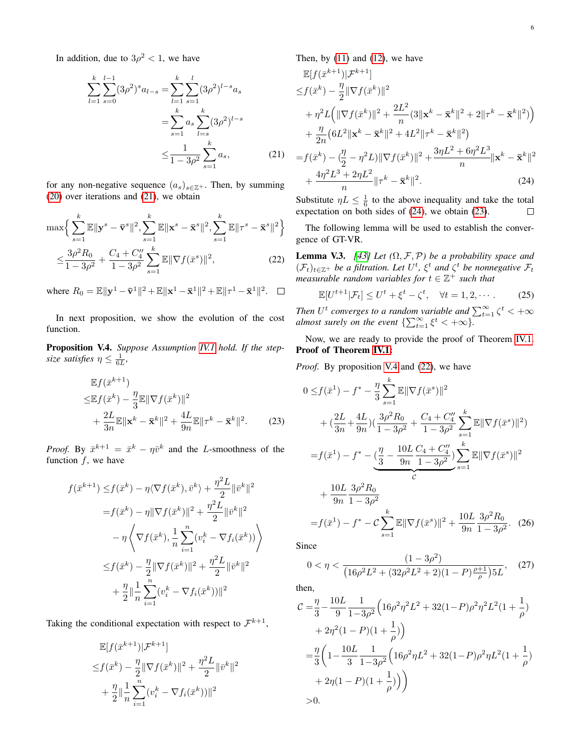In addition, due to  $3\rho^2 < 1$ , we have

$$
\sum_{l=1}^{k} \sum_{s=0}^{l-1} (3\rho^2)^s a_{l-s} = \sum_{l=1}^{k} \sum_{s=1}^{l} (3\rho^2)^{l-s} a_s
$$

$$
= \sum_{s=1}^{k} a_s \sum_{l=s}^{k} (3\rho^2)^{l-s}
$$

$$
\leq \frac{1}{1 - 3\rho^2} \sum_{s=1}^{k} a_s,
$$
(21)

for any non-negative sequence  $(a_s)_{s \in \mathbb{Z}^+}$ . Then, by summing [\(20\)](#page-4-6) over iterations and [\(21\)](#page-5-0), we obtain

$$
\max \Big\{ \sum_{s=1}^{k} \mathbb{E} \|\mathbf{y}^{s} - \bar{\mathbf{v}}^{s}\|^{2}, \sum_{s=1}^{k} \mathbb{E} \|\mathbf{x}^{s} - \bar{\mathbf{x}}^{s}\|^{2}, \sum_{s=1}^{k} \mathbb{E} \|\tau^{s} - \bar{\mathbf{x}}^{s}\|^{2} \Big\}
$$

$$
\leq \frac{3\rho^{2} R_{0}}{1 - 3\rho^{2}} + \frac{C_{4} + C_{4}^{\prime\prime}}{1 - 3\rho^{2}} \sum_{s=1}^{k} \mathbb{E} \|\nabla f(\bar{x}^{s})\|^{2}, \tag{22}
$$

where  $R_0 = \mathbb{E} ||\mathbf{y}^1 - \bar{\mathbf{v}}^1||^2 + \mathbb{E}||\mathbf{x}^1 - \bar{\mathbf{x}}^1||^2 + \mathbb{E}||\tau^1 - \bar{\mathbf{x}}^1||^2$ .

In next proposition, we show the evolution of the cost function.

<span id="page-5-3"></span>Proposition V.4. *Suppose Assumption [IV.1](#page-0-0) hold. If the stepsize satisfies*  $\eta \leq \frac{1}{6L}$ ,

$$
\mathbb{E}f(\bar{x}^{k+1})
$$
  
\n
$$
\leq \mathbb{E}f(\bar{x}^k) - \frac{\eta}{3} \mathbb{E} \|\nabla f(\bar{x}^k)\|^2
$$
  
\n
$$
+ \frac{2L}{3n} \mathbb{E} \|\mathbf{x}^k - \bar{\mathbf{x}}^k\|^2 + \frac{4L}{9n} \mathbb{E} \|\tau^k - \bar{\mathbf{x}}^k\|^2.
$$
 (23)

*Proof.* By  $\bar{x}^{k+1} = \bar{x}^k - \eta \bar{v}^k$  and the *L*-smoothness of the function  $f$ , we have

$$
f(\bar{x}^{k+1}) \leq f(\bar{x}^k) - \eta \langle \nabla f(\bar{x}^k), \bar{v}^k \rangle + \frac{\eta^2 L}{2} ||\bar{v}^k||^2
$$
  

$$
= f(\bar{x}^k) - \eta ||\nabla f(\bar{x}^k)||^2 + \frac{\eta^2 L}{2} ||\bar{v}^k||^2
$$
  

$$
- \eta \left\langle \nabla f(\bar{x}^k), \frac{1}{n} \sum_{i=1}^n (v_i^k - \nabla f_i(\bar{x}^k)) \right\rangle
$$
  

$$
\leq f(\bar{x}^k) - \frac{\eta}{2} ||\nabla f(\bar{x}^k)||^2 + \frac{\eta^2 L}{2} ||\bar{v}^k||^2
$$
  

$$
+ \frac{\eta}{2} ||\frac{1}{n} \sum_{i=1}^n (v_i^k - \nabla f_i(\bar{x}^k))||^2
$$

Taking the conditional expectation with respect to  $\mathcal{F}^{k+1}$ ,

$$
\mathbb{E}[f(\bar{x}^{k+1})|\mathcal{F}^{k+1}]
$$
  
\n
$$
\leq f(\bar{x}^k) - \frac{\eta}{2} \|\nabla f(\bar{x}^k)\|^2 + \frac{\eta^2 L}{2} \|\bar{v}^k\|^2
$$
  
\n
$$
+ \frac{\eta}{2} \|\frac{1}{n} \sum_{i=1}^n (v_i^k - \nabla f_i(\bar{x}^k))\|^2
$$

Then, by  $(11)$  and  $(12)$ , we have

$$
\mathbb{E}[f(\bar{x}^{k+1})|\mathcal{F}^{k+1}]
$$
\n
$$
\leq f(\bar{x}^{k}) - \frac{\eta}{2} \|\nabla f(\bar{x}^{k})\|^{2}
$$
\n
$$
+ \eta^{2} L \Big( \|\nabla f(\bar{x}^{k})\|^{2} + \frac{2L^{2}}{n} (3\|\mathbf{x}^{k} - \bar{\mathbf{x}}^{k}\|^{2} + 2\|\tau^{k} - \bar{\mathbf{x}}^{k}\|^{2}) \Big)
$$
\n
$$
+ \frac{\eta}{2n} (6L^{2} \|\mathbf{x}^{k} - \bar{\mathbf{x}}^{k}\|^{2} + 4L^{2} \|\tau^{k} - \bar{\mathbf{x}}^{k}\|^{2})
$$
\n
$$
= f(\bar{x}^{k}) - (\frac{\eta}{2} - \eta^{2} L) \|\nabla f(\bar{x}^{k})\|^{2} + \frac{3\eta L^{2} + 6\eta^{2} L^{3}}{n} \|\mathbf{x}^{k} - \bar{\mathbf{x}}^{k}\|^{2}
$$
\n
$$
+ \frac{4\eta^{2} L^{3} + 2\eta L^{2}}{n} \|\tau^{k} - \bar{\mathbf{x}}^{k}\|^{2}.
$$
\n(24)

<span id="page-5-1"></span><span id="page-5-0"></span>Substitute  $\eta L \leq \frac{1}{6}$  to the above inequality and take the total expectation on both sides of [\(24\)](#page-5-1), we obtain [\(23\)](#page-5-2).  $\Box$ 

The following lemma will be used to establish the convergence of GT-VR.

<span id="page-5-6"></span><span id="page-5-4"></span>**Lemma V.3.** *[\[43\]](#page-10-33)* Let  $(\Omega, \mathcal{F}, \mathcal{P})$  be a probability space and  $(\mathcal{F}_t)_{t \in \mathbb{Z}^+}$  *be a filtration. Let*  $U^t$ ,  $\xi^t$  *and*  $\zeta^t$  *be nonnegative*  $\mathcal{F}_t$ *measurable random variables for*  $t \in \mathbb{Z}^+$  *such that* 

$$
\mathbb{E}[U^{t+1}|\mathcal{F}_t] \le U^t + \xi^t - \zeta^t, \quad \forall t = 1, 2, \cdots.
$$
 (25)

*Then*  $U^t$  converges to a random variable and  $\sum_{t=1}^{\infty} \zeta^t < +\infty$ *almost surely on the event*  $\{\sum_{t=1}^{\infty} \xi^{t} < +\infty\}$ .

Now, we are ready to provide the proof of Theorem [IV.1.](#page-3-2) Proof of Theorem [IV.1:](#page-3-2)

*Proof.* By proposition [V.4](#page-5-3) and [\(22\)](#page-5-4), we have

<span id="page-5-2"></span>
$$
0 \leq f(\bar{x}^1) - f^* - \frac{\eta}{3} \sum_{s=1}^k \mathbb{E} \|\nabla f(\bar{x}^s)\|^2
$$
  
+ 
$$
(\frac{2L}{3n} + \frac{4L}{9n})(\frac{3\rho^2 R_0}{1 - 3\rho^2} + \frac{C_4 + C_4''}{1 - 3\rho^2} \sum_{s=1}^k \mathbb{E} \|\nabla f(\bar{x}^s)\|^2)
$$
  
= 
$$
f(\bar{x}^1) - f^* - (\frac{\eta}{3} - \frac{10L}{9n} \frac{C_4 + C_4''}{1 - 3\rho^2}) \sum_{s=1}^k \mathbb{E} \|\nabla f(\bar{x}^s)\|^2
$$
  
+ 
$$
\frac{10L}{9n} \frac{3\rho^2 R_0}{1 - 3\rho^2}
$$
  
= 
$$
f(\bar{x}^1) - f^* - C \sum_{s=1}^k \mathbb{E} \|\nabla f(\bar{x}^s)\|^2 + \frac{10L}{9n} \frac{3\rho^2 R_0}{1 - 3\rho^2}.
$$
 (26)

Since

<span id="page-5-5"></span>
$$
0 < \eta < \frac{(1 - 3\rho^2)}{\left(16\rho^2 L^2 + (32\rho^2 L^2 + 2)(1 - P)\frac{\rho + 1}{\rho}\right)5L}, \quad (27)
$$

then,

$$
C = \frac{\eta}{3} - \frac{10L}{9} \frac{1}{1 - 3\rho^2} \left( 16\rho^2 \eta^2 L^2 + 32(1 - P)\rho^2 \eta^2 L^2 (1 + \frac{1}{\rho}) + 2\eta^2 (1 - P)(1 + \frac{1}{\rho}) \right)
$$
  
=  $\frac{\eta}{3} \left( 1 - \frac{10L}{3} \frac{1}{1 - 3\rho^2} \left( 16\rho^2 \eta L^2 + 32(1 - P)\rho^2 \eta L^2 (1 + \frac{1}{\rho}) + 2\eta (1 - P)(1 + \frac{1}{\rho}) \right) \right)$   
> 0.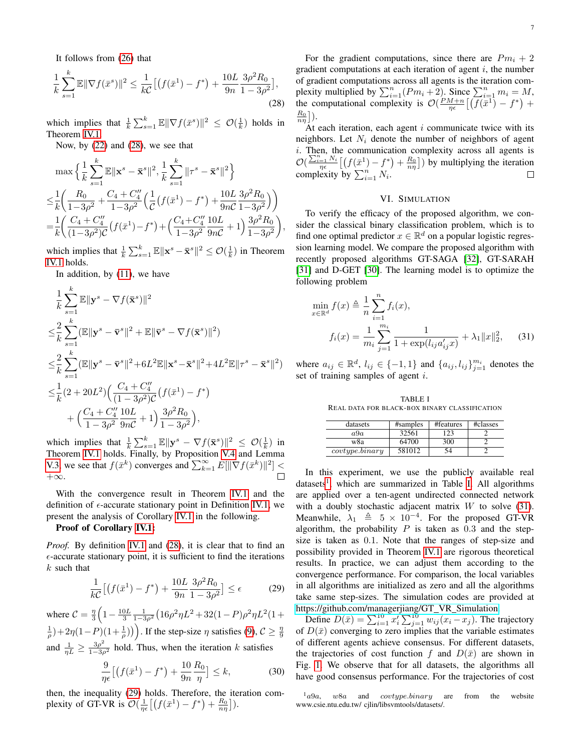It follows from [\(26\)](#page-5-5) that

$$
\frac{1}{k} \sum_{s=1}^{k} \mathbb{E} \|\nabla f(\bar{x}^s)\|^2 \le \frac{1}{k\mathcal{C}} \left[ \left( f(\bar{x}^1) - f^* \right) + \frac{10L}{9n} \frac{3\rho^2 R_0}{1 - 3\rho^2} \right],\tag{28}
$$

which implies that  $\frac{1}{k} \sum_{s=1}^{k} \mathbb{E} \|\nabla f(\bar{x}^s)\|^2 \leq \mathcal{O}(\frac{1}{k})$  holds in Theorem [IV.1.](#page-3-2)

Now, by [\(22\)](#page-5-4) and [\(28\)](#page-6-1), we see that

$$
\max \Big\{ \frac{1}{k} \sum_{s=1}^{k} \mathbb{E} \|\mathbf{x}^{s} - \bar{\mathbf{x}}^{s}\|^{2}, \frac{1}{k} \sum_{s=1}^{k} \|\tau^{s} - \bar{\mathbf{x}}^{s}\|^{2} \Big\}
$$
  

$$
\leq \frac{1}{k} \Big( \frac{R_{0}}{1 - 3\rho^{2}} + \frac{C_{4} + C_{4}''}{1 - 3\rho^{2}} \Big( \frac{1}{C} \big( f(\bar{x}^{1}) - f^{*} \big) + \frac{10L}{9nC} \frac{3\rho^{2} R_{0}}{1 - 3\rho^{2}} \Big) \Big)
$$
  

$$
= \frac{1}{k} \Big( \frac{C_{4} + C_{4}''}{(1 - 3\rho^{2})C} \big( f(\bar{x}^{1}) - f^{*} \big) + \Big( \frac{C_{4} + C_{4}''}{1 - 3\rho^{2}} \frac{10L}{9nC} + 1 \Big) \frac{3\rho^{2} R_{0}}{1 - 3\rho^{2}} \Big),
$$

which implies that  $\frac{1}{k} \sum_{s=1}^{k} \mathbb{E} \|\mathbf{x}^{s} - \bar{\mathbf{x}}^{s}\|^2 \le \mathcal{O}(\frac{1}{k})$  in Theorem [IV.1](#page-3-2) holds.

In addition, by  $(11)$ , we have

$$
\frac{1}{k} \sum_{s=1}^{k} \mathbb{E} \|\mathbf{y}^{s} - \nabla f(\bar{\mathbf{x}}^{s})\|^{2}
$$
\n
$$
\leq \frac{2}{k} \sum_{s=1}^{k} (\mathbb{E} \|\mathbf{y}^{s} - \bar{\mathbf{v}}^{s}\|^{2} + \mathbb{E} \|\bar{\mathbf{v}}^{s} - \nabla f(\bar{\mathbf{x}}^{s})\|^{2})
$$
\n
$$
\leq \frac{2}{k} \sum_{s=1}^{k} (\mathbb{E} \|\mathbf{y}^{s} - \bar{\mathbf{v}}^{s}\|^{2} + 6L^{2} \mathbb{E} \|\mathbf{x}^{s} - \bar{\mathbf{x}}^{s}\|^{2} + 4L^{2} \mathbb{E} \|\tau^{s} - \bar{\mathbf{x}}^{s}\|^{2})
$$
\n
$$
\leq \frac{1}{k} (2 + 20L^{2}) \Big( \frac{C_{4} + C_{4}^{"}}{(1 - 3\rho^{2})\mathcal{C}} \Big( f(\bar{x}^{1}) - f^{*} \Big)
$$
\n
$$
+ \Big( \frac{C_{4} + C_{4}^{"}}{1 - 3\rho^{2}} \frac{10L}{9n\mathcal{C}} + 1 \Big) \frac{3\rho^{2} R_{0}}{1 - 3\rho^{2}} \Big),
$$

which implies that  $\frac{1}{k} \sum_{s=1}^{k} \mathbb{E} \|\mathbf{y}^{s} - \nabla f(\bar{\mathbf{x}}^{s})\|^2 \leq \mathcal{O}(\frac{1}{k})$  in Theorem [IV.1](#page-3-2) holds. Finally, by Proposition [V.4](#page-5-3) and Lemma [V.3,](#page-5-6) we see that  $f(\bar{x}^k)$  converges and  $\sum_{k=1}^{\infty} E[\|\nabla f(\bar{x}^k)\|^2]$  < +∞.  $\Box$ 

With the convergence result in Theorem [IV.1](#page-3-2) and the definition of  $\epsilon$ -accurate stationary point in Definition [IV.1,](#page-3-7) we present the analysis of Corollary [IV.1](#page-3-3) in the following.

#### Proof of Corollary [IV.1:](#page-3-3)

*Proof.* By definition [IV.1](#page-3-7) and [\(28\)](#page-6-1), it is clear that to find an  $\epsilon$ -accurate stationary point, it is sufficient to find the iterations  $k$  such that

$$
\frac{1}{k\mathcal{C}}\left[ \left( f(\bar{x}^1) - f^* \right) + \frac{10L}{9n} \frac{3\rho^2 R_0}{1 - 3\rho^2} \right] \le \epsilon \tag{29}
$$

where  $C = \frac{\eta}{3} \left( 1 - \frac{10L}{3} \frac{1}{1 - 3\rho^2} \left( 16\rho^2 \eta L^2 + 32(1 - P)\rho^2 \eta L^2 (1 +$  $(\frac{1}{\rho})+2\eta(1-P)(1+\frac{1}{\rho})\big)$ . If the step-size  $\eta$  satisfies [\(9\)](#page-3-8),  $C \geq \frac{\eta}{9}$ and  $\frac{1}{\eta L} \ge \frac{3\rho^2}{1-3\rho^2}$  hold. Thus, when the iteration k satisfies

$$
\frac{9}{\eta\epsilon}\left[\left(f(\bar{x}^1) - f^*\right) + \frac{10}{9n}\frac{R_0}{\eta}\right] \le k,\tag{30}
$$

then, the inequality [\(29\)](#page-6-2) holds. Therefore, the iteration complexity of GT-VR is  $\mathcal{O}(\frac{1}{\eta\epsilon}\left[\left(f(\bar{x}^1) - f^*\right) + \frac{R_0}{n\eta}\right])$ .

For the gradient computations, since there are  $Pm_i + 2$ gradient computations at each iteration of agent  $i$ , the number of gradient computations across all agents is the iteration complexity multiplied by  $\sum_{i=1}^{n} (Pm_i + 2)$ . Since  $\sum_{i=1}^{n} m_i = M$ , the computational complexity is  $\mathcal{O}(\frac{PM+n}{\eta \epsilon}[(\overline{f}(\overline{x}^1) - f^*) +$  $\frac{R_0}{n\eta} \big]$ ).

<span id="page-6-1"></span>At each iteration, each agent  $i$  communicate twice with its neighbors. Let  $N_i$  denote the number of neighbors of agent i. Then, the communication complexity across all agents is  $\mathcal{O}\left(\frac{\sum_{i=1}^{n} N_i}{\eta \epsilon} \left[ \left(f(\bar{x}^1) - f^*\right) + \frac{R_0}{n\eta} \right] \right)$  by multiplying the iteration complexity by  $\sum_{i=1}^{n} N_i$ .

## <span id="page-6-5"></span>VI. SIMULATION

<span id="page-6-0"></span>To verify the efficacy of the proposed algorithm, we consider the classical binary classification problem, which is to find one optimal predictor  $x \in \mathbb{R}^d$  on a popular logistic regression learning model. We compare the proposed algorithm with recently proposed algorithms GT-SAGA [\[32\]](#page-10-22), GT-SARAH [\[31\]](#page-10-21) and D-GET [\[30\]](#page-10-20). The learning model is to optimize the following problem

$$
\min_{x \in \mathbb{R}^d} f(x) \triangleq \frac{1}{n} \sum_{i=1}^n f_i(x),
$$
  

$$
f_i(x) = \frac{1}{m_i} \sum_{j=1}^{m_i} \frac{1}{1 + \exp(l_{ij} a'_{ij} x)} + \lambda_1 \|x\|_2^2, \qquad (31)
$$

where  $a_{ij} \in \mathbb{R}^d$ ,  $l_{ij} \in \{-1, 1\}$  and  $\{a_{ij}, l_{ij}\}_{j=1}^{m_i}$  denotes the set of training samples of agent i.

<span id="page-6-4"></span>TABLE I REAL DATA FOR BLACK-BOX BINARY CLASSIFICATION

| datasets       | #samples | #features | #classes |
|----------------|----------|-----------|----------|
| a9a            | 32561    | 23        |          |
| w8a            | 64700    | 300       |          |
| covtype.binary | 581012   | 54        |          |

In this experiment, we use the publicly available real datasets<sup>[1](#page-6-3)</sup>, which are summarized in Table [I.](#page-6-4) All algorithms are applied over a ten-agent undirected connected network with a doubly stochastic adjacent matrix  $W$  to solve [\(31\)](#page-6-5). Meanwhile,  $\lambda_1 \triangleq 5 \times 10^{-4}$ . For the proposed GT-VR algorithm, the probability  $P$  is taken as 0.3 and the stepsize is taken as 0.1. Note that the ranges of step-size and possibility provided in Theorem [IV.1](#page-3-2) are rigorous theoretical results. In practice, we can adjust them according to the convergence performance. For comparison, the local variables in all algorithms are initialized as zero and all the algorithms take same step-sizes. The simulation codes are provided at [https://github.com/managerjiang/GT](https://github.com/managerjiang/GT_VR_Simulation)\_VR\_Simulation.

<span id="page-6-2"></span>Define  $D(\bar{x}) = \sum_{i=1}^{10} x_i' \sum_{j=1}^{10} w_{ij} (x_i - x_j)$ . The trajectory of  $D(\bar{x})$  converging to zero implies that the variable estimates of different agents achieve consensus. For different datasets, the trajectories of cost function f and  $D(\bar{x})$  are shown in Fig. [1.](#page-7-2) We observe that for all datasets, the algorithms all have good consensus performance. For the trajectories of cost

<span id="page-6-3"></span> $1_a9a$ , w8a and covtype.binary are from the website www.csie.ntu.edu.tw/ cjlin/libsvmtools/datasets/.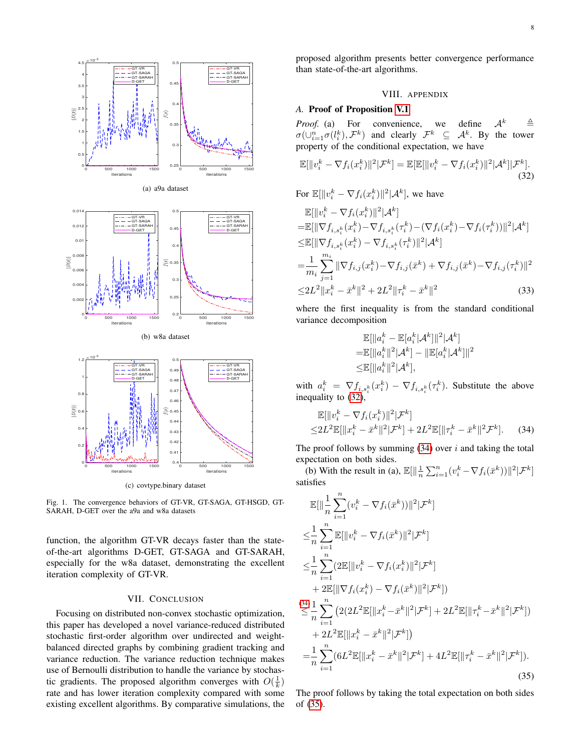

<span id="page-7-2"></span>Fig. 1. The convergence behaviors of GT-VR, GT-SAGA, GT-HSGD, GT-SARAH, D-GET over the a9a and w8a datasets

function, the algorithm GT-VR decays faster than the stateof-the-art algorithms D-GET, GT-SAGA and GT-SARAH, especially for the w8a dataset, demonstrating the excellent iteration complexity of GT-VR.

#### VII. CONCLUSION

<span id="page-7-0"></span>Focusing on distributed non-convex stochastic optimization, this paper has developed a novel variance-reduced distributed stochastic first-order algorithm over undirected and weightbalanced directed graphs by combining gradient tracking and variance reduction. The variance reduction technique makes use of Bernoulli distribution to handle the variance by stochastic gradients. The proposed algorithm converges with  $O(\frac{1}{k})$ rate and has lower iteration complexity compared with some existing excellent algorithms. By comparative simulations, the proposed algorithm presents better convergence performance than state-of-the-art algorithms.

## <span id="page-7-3"></span>VIII. APPENDIX

#### <span id="page-7-1"></span>*A.* Proof of Proposition [V.1](#page-3-4)

*Proof.* (a) For convenience, we define  $A^k$   $\triangleq$  $\sigma(\cup_{i=1}^n \sigma(l_i^k), \mathcal{F}^k)$  and clearly  $\mathcal{F}^k \subseteq \mathcal{A}^k$ . By the tower property of the conditional expectation, we have

$$
\mathbb{E}[\Vert v_i^k - \nabla f_i(x_i^k) \Vert^2 | \mathcal{F}^k] = \mathbb{E}[\mathbb{E}[\Vert v_i^k - \nabla f_i(x_i^k) \Vert^2 | \mathcal{A}^k] | \mathcal{F}^k].
$$
\n(32)

For  $\mathbb{E}[\Vert v_i^k - \nabla f_i(x_i^k) \Vert^2 | \mathcal{A}^k]$ , we have  $\mathbb{E}[\Vert v_i^k - \nabla f_i(x_i^k) \Vert^2 | \mathcal{A}^k]$  $= \mathbb{E}[\|\nabla f_{i,s_i^k}(x_i^k)-\nabla f_{i,s_i^k}(\tau_i^k)-(\nabla f_{i}(x_i^k)-\nabla f_{i}(\tau_i^k))\|^2|\mathcal{A}^k]$  $\leq$ E[| $\|\nabla f_{i,s_i^k}(x_i^k)-\nabla f_{i,s_i^k}(\tau_i^k)\|^2|\mathcal{A}^k]$  $\frac{1}{N}\sum_{i=1}^{m_i}\|\nabla f_{i,j}(x_i^k)-\nabla f_{i,j}(\bar{x}^k)+\nabla f_{i,j}(\bar{x}^k)-\nabla f_{i,j}(\tau)$ 

$$
=\frac{1}{m_i}\sum_{j=1}^{m_i}\|\nabla f_{i,j}(x_i^k)-\nabla f_{i,j}(\bar{x}^k)+\nabla f_{i,j}(\bar{x}^k)-\nabla f_{i,j}(\tau_i^k)\|^2
$$
  

$$
\leq 2L^2\|x_i^k-\bar{x}^k\|^2+2L^2\|\tau_i^k-\bar{x}^k\|^2
$$
(33)

where the first inequality is from the standard conditional variance decomposition

<span id="page-7-4"></span>
$$
\mathbb{E}[\|a_i^k - \mathbb{E}[a_i^k | A^k]\|^2 | A^k]
$$
\n
$$
= \mathbb{E}[\|a_i^k\|^2 | A^k] - \|\mathbb{E}[a_i^k | A^k]\|^2
$$
\n
$$
\leq \mathbb{E}[\|a_i^k\|^2 | A^k],
$$

with  $a_i^k = \nabla f_{i,s_i^k}(x_i^k) - \nabla f_{i,s_i^k}(\tau_i^k)$ . Substitute the above inequality to [\(32\)](#page-7-3),

$$
\mathbb{E}[\|v_i^k - \nabla f_i(x_i^k)\|^2 | \mathcal{F}^k]
$$
  
\n
$$
\leq 2L^2 \mathbb{E}[\|x_i^k - \bar{x}^k\|^2 | \mathcal{F}^k] + 2L^2 \mathbb{E}[\|\tau_i^k - \bar{x}^k\|^2 \mathcal{F}^k].
$$
 (34)

The proof follows by summing  $(34)$  over i and taking the total expectation on both sides.

(b) With the result in (a),  $\mathbb{E}[\Vert \frac{1}{n} \sum_{i=1}^{n} (v_i^k - \nabla f_i(\bar{x}^k)) \Vert^2 | \mathcal{F}^k]$ satisfies

$$
\mathbb{E}[\|\frac{1}{n}\sum_{i=1}^{n}(v_{i}^{k}-\nabla f_{i}(\bar{x}^{k}))\|^{2}|\mathcal{F}^{k}]
$$
\n
$$
\leq \frac{1}{n}\sum_{i=1}^{n}\mathbb{E}[\|v_{i}^{k}-\nabla f_{i}(\bar{x}^{k})\|^{2}|\mathcal{F}^{k}]
$$
\n
$$
\leq \frac{1}{n}\sum_{i=1}^{n}(2\mathbb{E}[\|v_{i}^{k}-\nabla f_{i}(x_{i}^{k})\|^{2}|\mathcal{F}^{k}]
$$
\n
$$
+2\mathbb{E}[\|\nabla f_{i}(x_{i}^{k})-\nabla f_{i}(\bar{x}^{k})\|^{2}|\mathcal{F}^{k}])
$$
\n
$$
\leq \frac{34}{n}\sum_{i=1}^{n}(2(2L^{2}\mathbb{E}[\|x_{i}^{k}-\bar{x}^{k}\|^{2}|\mathcal{F}^{k})+2L^{2}\mathbb{E}[\|\tau_{i}^{k}-\bar{x}^{k}\|^{2}|\mathcal{F}^{k}])
$$
\n
$$
+2L^{2}\mathbb{E}[\|x_{i}^{k}-\bar{x}^{k}\|^{2}|\mathcal{F}^{k}])
$$
\n
$$
=\frac{1}{n}\sum_{i=1}^{n}(6L^{2}\mathbb{E}[\|x_{i}^{k}-\bar{x}^{k}\|^{2}|\mathcal{F}^{k}]+4L^{2}\mathbb{E}[\|\tau_{i}^{k}-\bar{x}^{k}\|^{2}|\mathcal{F}^{k}]).
$$
\n(35)

<span id="page-7-5"></span>The proof follows by taking the total expectation on both sides of [\(35\)](#page-7-5).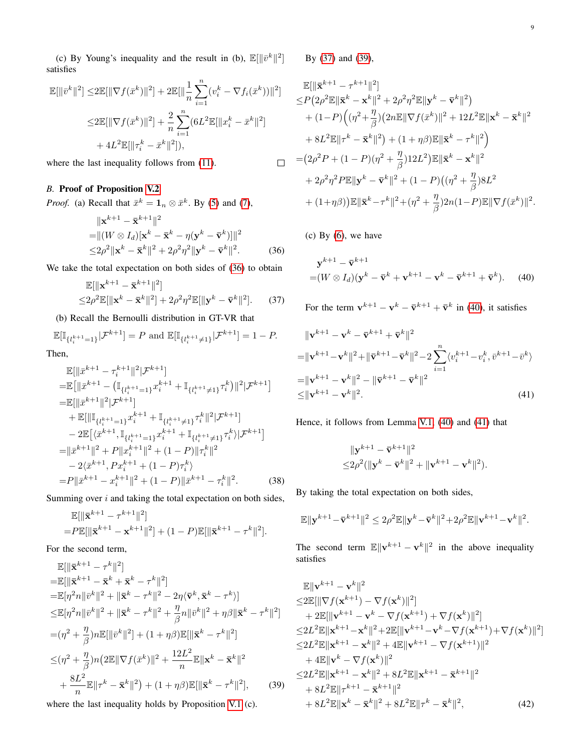(c) By Young's inequality and the result in (b),  $\mathbb{E}[\Vert \bar{v}^k \Vert^2]$ satisfies

$$
\mathbb{E}[\|\bar{v}^k\|^2] \le 2\mathbb{E}[\|\nabla f(\bar{x}^k)\|^2] + 2\mathbb{E}[\|\frac{1}{n}\sum_{i=1}^n (v_i^k - \nabla f_i(\bar{x}^k))\|^2]
$$
  

$$
\le 2\mathbb{E}[\|\nabla f(\bar{x}^k)\|^2] + \frac{2}{n}\sum_{i=1}^n (6L^2\mathbb{E}[\|x_i^k - \bar{x}^k\|^2])
$$
  

$$
+ 4L^2\mathbb{E}[\|\tau_i^k - \bar{x}^k\|^2]),
$$

where the last inequality follows from  $(11)$ .

## <span id="page-8-0"></span>*B.* Proof of Proposition [V.2](#page-4-2)

*Proof.* (a) Recall that  $\bar{x}^k = \mathbf{1}_n \otimes \bar{x}^k$ . By [\(5\)](#page-3-9) and [\(7\)](#page-3-1),

$$
\|\mathbf{x}^{k+1} - \bar{\mathbf{x}}^{k+1}\|^2
$$
  
= 
$$
\|(W \otimes I_d)\|\mathbf{x}^k - \bar{\mathbf{x}}^k - \eta(\mathbf{y}^k - \bar{\mathbf{v}}^k)\|\|^2
$$
  

$$
\leq 2\rho^2 \|\mathbf{x}^k - \bar{\mathbf{x}}^k\|^2 + 2\rho^2\eta^2 \|\mathbf{y}^k - \bar{\mathbf{v}}^k\|^2.
$$
 (36)

We take the total expectation on both sides of  $(36)$  to obtain

$$
\mathbb{E}[\|\mathbf{x}^{k+1} - \bar{\mathbf{x}}^{k+1}\|^2] \le 2\rho^2 \mathbb{E}[\|\mathbf{x}^k - \bar{\mathbf{x}}^k\|^2] + 2\rho^2 \eta^2 \mathbb{E}[\|\mathbf{y}^k - \bar{\mathbf{v}}^k\|^2].
$$
 (37)

(b) Recall the Bernoulli distribution in GT-VR that

$$
\mathbb{E}[\mathbb{I}_{\{l_i^{k+1}=1\}}|\mathcal{F}^{k+1}] = P \text{ and } \mathbb{E}[\mathbb{I}_{\{l_i^{k+1}\neq 1\}}|\mathcal{F}^{k+1}] = 1 - P.
$$

Then,

$$
\mathbb{E}[\|\bar{x}^{k+1} - \tau_i^{k+1}\|^2 | \mathcal{F}^{k+1}]
$$
\n
$$
= \mathbb{E}[\|\bar{x}^{k+1} - (\mathbb{I}_{\{l_i^{k+1}=1\}} x_i^{k+1} + \mathbb{I}_{\{l_i^{k+1}\neq 1\}} \tau_i^k)\|^2 | \mathcal{F}^{k+1}]
$$
\n
$$
= \mathbb{E}[\|\bar{x}^{k+1}\|^2 | \mathcal{F}^{k+1}]
$$
\n
$$
+ \mathbb{E}[\|\mathbb{I}_{\{l_i^{k+1}=1\}} x_i^{k+1} + \mathbb{I}_{\{l_i^{k+1}\neq 1\}} \tau_i^k\|^2 | \mathcal{F}^{k+1}]
$$
\n
$$
- 2 \mathbb{E}[\langle \bar{x}^{k+1}, \mathbb{I}_{\{l_i^{k+1}=1\}} x_i^{k+1} + \mathbb{I}_{\{l_i^{k+1}\neq 1\}} \tau_i^k\rangle | \mathcal{F}^{k+1}]
$$
\n
$$
= \|\bar{x}^{k+1}\|^2 + P\|x_i^{k+1}\|^2 + (1-P)\|\tau_i^k\|^2
$$
\n
$$
- 2\langle \bar{x}^{k+1}, P x_i^{k+1} + (1-P)\tau_i^k\rangle
$$
\n
$$
= P\|\bar{x}^{k+1} - x_i^{k+1}\|^2 + (1-P)\|\bar{x}^{k+1} - \tau_i^k\|^2. \tag{38}
$$

Summing over  $i$  and taking the total expectation on both sides,

$$
\mathbb{E}[\|\bar{\mathbf{x}}^{k+1} - \tau^{k+1}\|^2]
$$
  
= $P\mathbb{E}[\|\bar{\mathbf{x}}^{k+1} - \mathbf{x}^{k+1}\|^2] + (1 - P)\mathbb{E}[\|\bar{\mathbf{x}}^{k+1} - \tau^k\|^2].$ 

For the second term,

$$
\mathbb{E}[\|\bar{\mathbf{x}}^{k+1} - \tau^{k}\|^2]
$$
\n
$$
= \mathbb{E}[\|\bar{\mathbf{x}}^{k+1} - \bar{\mathbf{x}}^k + \bar{\mathbf{x}}^k - \tau^k\|^2]
$$
\n
$$
= \mathbb{E}[\eta^2 n \|\bar{v}^k\|^2 + \|\bar{\mathbf{x}}^k - \tau^k\|^2 - 2\eta \langle \bar{\mathbf{v}}^k, \bar{\mathbf{x}}^k - \tau^k \rangle]
$$
\n
$$
\leq \mathbb{E}[\eta^2 n \|\bar{v}^k\|^2 + \|\bar{\mathbf{x}}^k - \tau^k\|^2 + \frac{\eta}{\beta} n \|\bar{v}^k\|^2 + \eta \beta \|\bar{\mathbf{x}}^k - \tau^k\|^2]
$$
\n
$$
= (\eta^2 + \frac{\eta}{\beta})n \mathbb{E}[\|\bar{v}^k\|^2] + (1 + \eta \beta) \mathbb{E}[\|\bar{\mathbf{x}}^k - \tau^k\|^2]
$$
\n
$$
\leq (\eta^2 + \frac{\eta}{\beta})n (2 \mathbb{E} \|\nabla f(\bar{x}^k)\|^2 + \frac{12L^2}{n} \mathbb{E} \|\mathbf{x}^k - \bar{\mathbf{x}}^k\|^2
$$
\n
$$
+ \frac{8L^2}{n} \mathbb{E} \|\tau^k - \bar{\mathbf{x}}^k\|^2) + (1 + \eta \beta) \mathbb{E}[\|\bar{\mathbf{x}}^k - \tau^k\|^2], \qquad (39)
$$

where the last inequality holds by Proposition [V.1](#page-3-4) (c).

By [\(37\)](#page-8-2) and [\(39\)](#page-8-3),

$$
\mathbb{E}[\|\bar{\mathbf{x}}^{k+1} - \tau^{k+1}\|^2] \n\leq P(2\rho^2 \mathbb{E} \|\bar{\mathbf{x}}^k - \mathbf{x}^k\|^2 + 2\rho^2 \eta^2 \mathbb{E} \|\mathbf{y}^k - \bar{\mathbf{v}}^k\|^2) \n+ (1-P)\Big((\eta^2 + \frac{\eta}{\beta})(2n\mathbb{E} \|\nabla f(\bar{x}^k)\|^2 + 12L^2 \mathbb{E} \|\mathbf{x}^k - \bar{\mathbf{x}}^k\|^2) \n+ 8L^2 \mathbb{E} \|\tau^k - \bar{\mathbf{x}}^k\|^2) + (1 + \eta \beta) \mathbb{E} \|\bar{\mathbf{x}}^k - \tau^k\|^2) \n= (2\rho^2 P + (1 - P)(\eta^2 + \frac{\eta}{\beta})12L^2) \mathbb{E} \|\bar{\mathbf{x}}^k - \mathbf{x}^k\|^2 \n+ 2\rho^2 \eta^2 P \mathbb{E} \|\mathbf{y}^k - \bar{\mathbf{v}}^k\|^2 + (1 - P)((\eta^2 + \frac{\eta}{\beta})8L^2 \n+ (1 + \eta \beta)) \mathbb{E} \|\bar{\mathbf{x}}^k - \tau^k\|^2 + (\eta^2 + \frac{\eta}{\beta})2n(1 - P) \mathbb{E} \|\nabla f(\bar{x}^k)\|^2.
$$

<span id="page-8-1"></span> $(c)$  By  $(6)$ , we have

 $\Box$ 

<span id="page-8-4"></span>
$$
\mathbf{y}^{k+1} - \bar{\mathbf{v}}^{k+1}
$$
  
=  $(W \otimes I_d)(\mathbf{y}^k - \bar{\mathbf{v}}^k + \mathbf{v}^{k+1} - \mathbf{v}^k - \bar{\mathbf{v}}^{k+1} + \bar{\mathbf{v}}^k).$  (40)

<span id="page-8-2"></span>For the term  $v^{k+1} - v^k - \bar{v}^{k+1} + \bar{v}^k$  in [\(40\)](#page-8-4), it satisfies

$$
\|\mathbf{v}^{k+1} - \mathbf{v}^k - \bar{\mathbf{v}}^{k+1} + \bar{\mathbf{v}}^k\|^2
$$
  
\n
$$
= \|\mathbf{v}^{k+1} - \mathbf{v}^k\|^2 + \|\bar{\mathbf{v}}^{k+1} - \bar{\mathbf{v}}^k\|^2 - 2 \sum_{i=1}^n \langle v_i^{k+1} - v_i^k, \bar{v}^{k+1} - \bar{v}^k \rangle
$$
  
\n
$$
= \|\mathbf{v}^{k+1} - \mathbf{v}^k\|^2 - \|\bar{\mathbf{v}}^{k+1} - \bar{\mathbf{v}}^k\|^2
$$
  
\n
$$
\leq \|\mathbf{v}^{k+1} - \mathbf{v}^k\|^2.
$$
\n(41)

Hence, it follows from Lemma [V.1,](#page-3-11) [\(40\)](#page-8-4) and [\(41\)](#page-8-5) that

<span id="page-8-5"></span>
$$
\begin{aligned} &\|\mathbf{y}^{k+1}-\bar{\mathbf{v}}^{k+1}\|^2\\ \le& 2\rho^2(\|\mathbf{y}^k-\bar{\mathbf{v}}^k\|^2+\|\mathbf{v}^{k+1}-\mathbf{v}^k\|^2). \end{aligned}
$$

By taking the total expectation on both sides,

$$
\mathbb{E}\|\mathbf{y}^{k+1}-\bar{\mathbf{v}}^{k+1}\|^2 \leq 2\rho^2 \mathbb{E}\|\mathbf{y}^k-\bar{\mathbf{v}}^k\|^2 + 2\rho^2 \mathbb{E}\|\mathbf{v}^{k+1}-\mathbf{v}^k\|^2.
$$

The second term  $\mathbb{E} \|\mathbf{v}^{k+1} - \mathbf{v}^k\|^2$  in the above inequality satisfies

<span id="page-8-6"></span><span id="page-8-3"></span>
$$
\mathbb{E}||\mathbf{v}^{k+1} - \mathbf{v}^{k}||^{2} \n\leq 2\mathbb{E}[||\nabla f(\mathbf{x}^{k+1}) - \nabla f(\mathbf{x}^{k})||^{2}] \n+ 2\mathbb{E}[||\mathbf{v}^{k+1} - \mathbf{v}^{k} - \nabla f(\mathbf{x}^{k+1}) + \nabla f(\mathbf{x}^{k})||^{2}] \n\leq 2L^{2}\mathbb{E}||\mathbf{x}^{k+1} - \mathbf{x}^{k}||^{2} + 2\mathbb{E}[||\mathbf{v}^{k+1} - \mathbf{v}^{k} - \nabla f(\mathbf{x}^{k+1}) + \nabla f(\mathbf{x}^{k})||^{2}] \n\leq 2L^{2}\mathbb{E}||\mathbf{x}^{k+1} - \mathbf{x}^{k}||^{2} + 4\mathbb{E}||\mathbf{v}^{k+1} - \nabla f(\mathbf{x}^{k+1})||^{2} \n+ 4\mathbb{E}||\mathbf{v}^{k} - \nabla f(\mathbf{x}^{k})||^{2} \n\leq 2L^{2}\mathbb{E}||\mathbf{x}^{k+1} - \mathbf{x}^{k}||^{2} + 8L^{2}\mathbb{E}||\mathbf{x}^{k+1} - \mathbf{x}^{k+1}||^{2} \n+ 8L^{2}\mathbb{E}||\mathbf{\tau}^{k+1} - \mathbf{x}^{k+1}||^{2} \n+ 8L^{2}\mathbb{E}||\mathbf{x}^{k} - \mathbf{x}^{k}||^{2} + 8L^{2}\mathbb{E}||\mathbf{\tau}^{k} - \mathbf{x}^{k}||^{2},
$$
\n(42)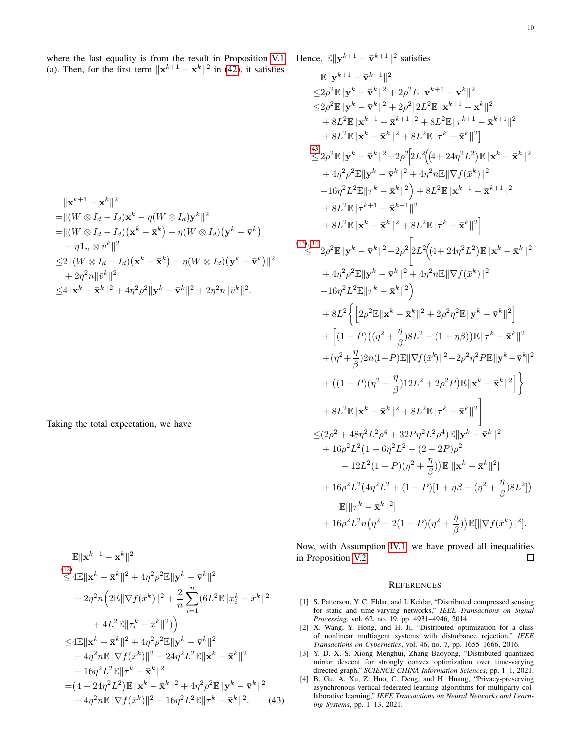where the last equality is from the result in Proposition [V.1](#page-3-4) (a). Then, for the first term  $\|\mathbf{x}^{k+1} - \mathbf{x}^{k}\|^2$  in [\(42\)](#page-8-6), it satisfies

$$
\|\mathbf{x}^{k+1} - \mathbf{x}^{k}\|^2
$$
\n
$$
= \| (W \otimes I_d - I_d) \mathbf{x}^k - \eta (W \otimes I_d) \mathbf{y}^k \|^2
$$
\n
$$
= \| (W \otimes I_d - I_d) (\mathbf{x}^k - \bar{\mathbf{x}}^k) - \eta (W \otimes I_d) (\mathbf{y}^k - \bar{\mathbf{v}}^k)
$$
\n
$$
- \eta \mathbf{1}_n \otimes \bar{v}^k \|^2
$$
\n
$$
\leq 2 \| (W \otimes I_d - I_d) (\mathbf{x}^k - \bar{\mathbf{x}}^k) - \eta (W \otimes I_d) (\mathbf{y}^k - \bar{\mathbf{v}}^k) \|^2
$$
\n
$$
+ 2\eta^2 n \|\bar{v}^k\|^2
$$
\n
$$
\leq 4 \|\mathbf{x}^k - \bar{\mathbf{x}}^k\|^2 + 4\eta^2 \rho^2 \|\mathbf{y}^k - \bar{\mathbf{v}}^k\|^2 + 2\eta^2 n \|\bar{v}^k\|^2.
$$

Taking the total expectation, we have

$$
\mathbb{E} \|\mathbf{x}^{k+1} - \mathbf{x}^{k}\|^{2}
$$
\n
$$
\leq 4\mathbb{E} \|\mathbf{x}^{k} - \bar{\mathbf{x}}^{k}\|^{2} + 4\eta^{2}\rho^{2}\mathbb{E} \|\mathbf{y}^{k} - \bar{\mathbf{v}}^{k}\|^{2}
$$
\n
$$
+ 2\eta^{2}n \Big( 2\mathbb{E} \|\nabla f(\bar{x}^{k})\|^{2} + \frac{2}{n} \sum_{i=1}^{n} (6L^{2}\mathbb{E} \|x_{i}^{k} - \bar{x}^{k}\|^{2})
$$
\n
$$
+ 4L^{2}\mathbb{E} \|\tau_{i}^{k} - \bar{x}^{k}\|^{2}) \Big)
$$
\n
$$
\leq 4\mathbb{E} \|\mathbf{x}^{k} - \bar{\mathbf{x}}^{k}\|^{2} + 4\eta^{2}\rho^{2}\mathbb{E} \|\mathbf{y}^{k} - \bar{\mathbf{v}}^{k}\|^{2}
$$
\n
$$
+ 4\eta^{2}n\mathbb{E} \|\nabla f(\bar{x}^{k})\|^{2} + 24\eta^{2}L^{2}\mathbb{E} \|\mathbf{x}^{k} - \bar{\mathbf{x}}^{k}\|^{2}
$$
\n
$$
+ 16\eta^{2}L^{2}\mathbb{E} \|\tau^{k} - \bar{\mathbf{x}}^{k}\|^{2}
$$
\n
$$
= (4 + 24\eta^{2}L^{2})\mathbb{E} \|\mathbf{x}^{k} - \bar{\mathbf{x}}^{k}\|^{2} + 4\eta^{2}\rho^{2}\mathbb{E} \|\mathbf{y}^{k} - \bar{\mathbf{v}}^{k}\|^{2}
$$
\n
$$
+ 4\eta^{2}n\mathbb{E} \|\nabla f(\bar{x}^{k})\|^{2} + 16\eta^{2}L^{2}\mathbb{E} \|\tau^{k} - \bar{\mathbf{x}}^{k}\|^{2}.
$$
\n(43)

Hence,  $\mathbb{E} \|\mathbf{y}^{k+1} - \bar{\mathbf{v}}^{k+1}\|^2$  satisfies

$$
\mathbb{E}||\mathbf{y}^{k+1} - \bar{\mathbf{v}}^{k+1}||^{2}
$$
\n
$$
\leq 2\rho^{2}\mathbb{E}||\mathbf{y}^{k} - \bar{\mathbf{v}}^{k}||^{2} + 2\rho^{2}E||\mathbf{v}^{k+1} - \mathbf{v}^{k}||^{2}
$$
\n
$$
\leq 2\rho^{2}\mathbb{E}||\mathbf{y}^{k} - \bar{\mathbf{v}}^{k}||^{2} + 2\rho^{2}[2L^{2}\mathbb{E}||\mathbf{x}^{k+1} - \mathbf{x}^{k}||^{2}
$$
\n
$$
+ 8L^{2}\mathbb{E}||\mathbf{x}^{k+1} - \bar{\mathbf{x}}^{k+1}||^{2} + 8L^{2}\mathbb{E}||\tau^{k+1} - \bar{\mathbf{x}}^{k+1}||^{2}
$$
\n
$$
+ 8L^{2}\mathbb{E}||\mathbf{x}^{k} - \bar{\mathbf{x}}^{k}||^{2} + 8L^{2}\mathbb{E}||\tau^{k} - \bar{\mathbf{x}}^{k}||^{2}
$$
\n
$$
\leq 2\rho^{2}\mathbb{E}||\mathbf{y}^{k} - \bar{\mathbf{v}}^{k}||^{2} + 2\rho^{2}[2L^{2}((4+24\eta^{2}L^{2})\mathbb{E}||\mathbf{x}^{k} - \bar{\mathbf{x}}^{k}||^{2})
$$
\n
$$
+ 4\eta^{2}\rho^{2}\mathbb{E}||\mathbf{y}^{k} - \bar{\mathbf{v}}^{k}||^{2} + 4\eta^{2}n\mathbb{E}||\nabla f(\bar{x}^{k})||^{2}
$$
\n
$$
+ 16\eta^{2}L^{2}\mathbb{E}||\tau^{k-1} - \bar{\mathbf{x}}^{k+1}||^{2}
$$
\n
$$
+ 8L^{2}\mathbb{E}||\mathbf{x}^{k-1} - \bar{\mathbf{x}}^{k+1}||^{2}
$$
\n
$$
+ 8L^{2}\mathbb{E}||\mathbf{x}^{k-1} - \bar{\mathbf{x}}^{k+1}||^{2}
$$
\n
$$
+ 8L^{2}\mathbb{E}||\mathbf{x}^{k} - \bar{\mathbf{x}}^{k}||^{2
$$

Now, with Assumption [IV.1,](#page-0-0) we have proved all inequalities in Proposition [V.2.](#page-4-2)  $\Box$ 

#### **REFERENCES**

- <span id="page-9-0"></span>[1] S. Patterson, Y. C. Eldar, and I. Keidar, "Distributed compressed sensing for static and time-varying networks," *IEEE Transactions on Signal Processing*, vol. 62, no. 19, pp. 4931–4946, 2014.
- [2] X. Wang, Y. Hong, and H. Ji, "Distributed optimization for a class of nonlinear multiagent systems with disturbance rejection," *IEEE Transactions on Cybernetics*, vol. 46, no. 7, pp. 1655–1666, 2016.
- [3] Y. D. X. S. Xiong Menghui, Zhang Baoyong, "Distributed quantized mirror descent for strongly convex optimization over time-varying directed graph," *SCIENCE CHINA Information Sciences*, pp. 1–1, 2021.
- <span id="page-9-2"></span><span id="page-9-1"></span>[4] B. Gu, A. Xu, Z. Huo, C. Deng, and H. Huang, "Privacy-preserving asynchronous vertical federated learning algorithms for multiparty collaborative learning," *IEEE Transactions on Neural Networks and Learning Systems*, pp. 1–13, 2021.